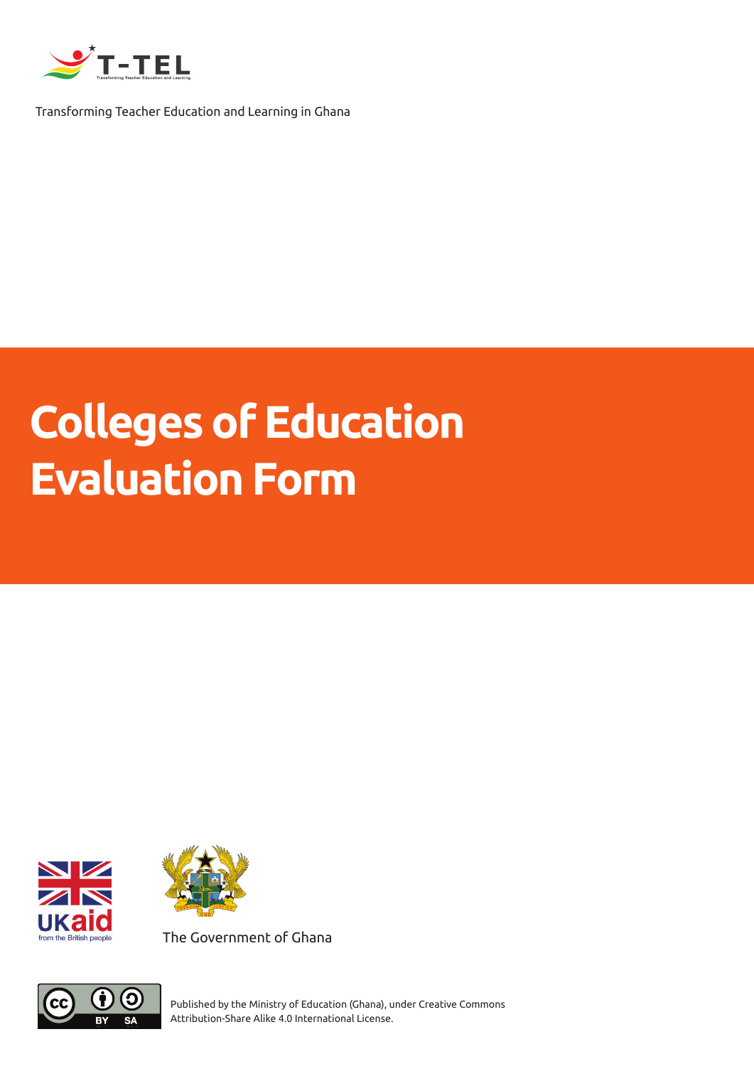

Transforming Teacher Education and Learning in Ghana

# **Colleges of Education Evaluation Form**





The Government of Ghana



Published by the Ministry of Education (Ghana), under Creative Commons Attribution-Share Alike 4.0 International License.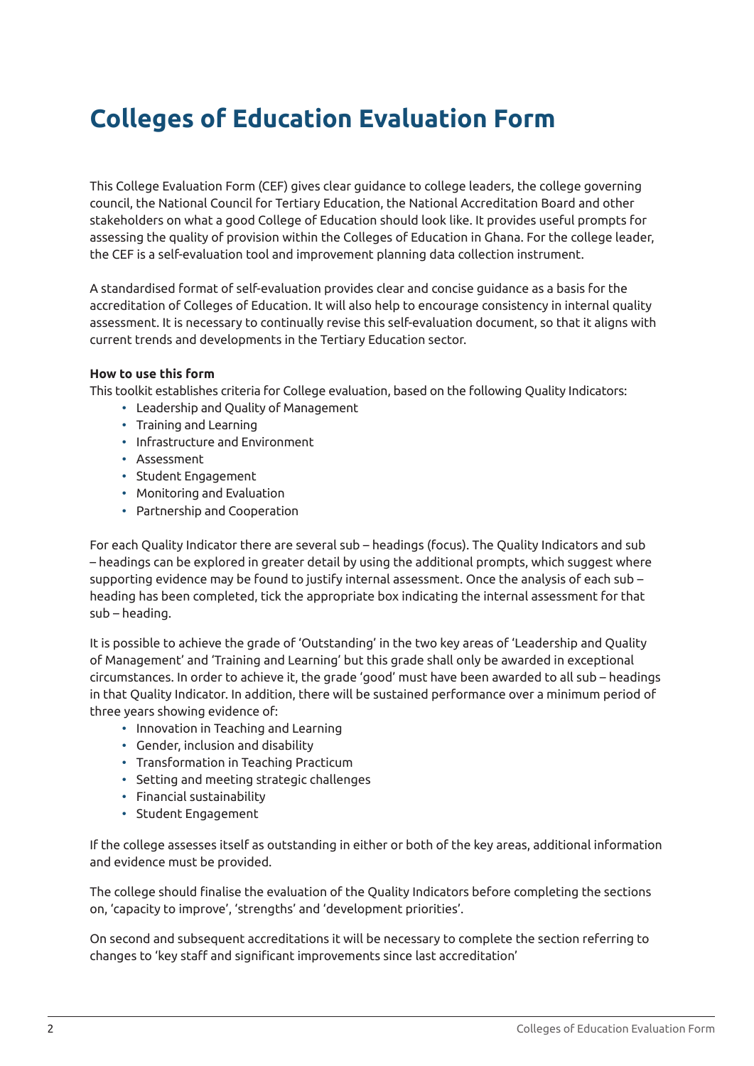# **Colleges of Education Evaluation Form**

This College Evaluation Form (CEF) gives clear guidance to college leaders, the college governing council, the National Council for Tertiary Education, the National Accreditation Board and other stakeholders on what a good College of Education should look like. It provides useful prompts for assessing the quality of provision within the Colleges of Education in Ghana. For the college leader, the CEF is a self-evaluation tool and improvement planning data collection instrument.

A standardised format of self-evaluation provides clear and concise guidance as a basis for the accreditation of Colleges of Education. It will also help to encourage consistency in internal quality assessment. It is necessary to continually revise this self-evaluation document, so that it aligns with current trends and developments in the Tertiary Education sector.

#### **How to use this form**

This toolkit establishes criteria for College evaluation, based on the following Quality Indicators:

- Leadership and Quality of Management
- Training and Learning
- Infrastructure and Environment
- Assessment
- Student Engagement
- Monitoring and Evaluation
- Partnership and Cooperation

For each Quality Indicator there are several sub – headings (focus). The Quality Indicators and sub – headings can be explored in greater detail by using the additional prompts, which suggest where supporting evidence may be found to justify internal assessment. Once the analysis of each sub – heading has been completed, tick the appropriate box indicating the internal assessment for that sub – heading.

It is possible to achieve the grade of 'Outstanding' in the two key areas of 'Leadership and Quality of Management' and 'Training and Learning' but this grade shall only be awarded in exceptional circumstances. In order to achieve it, the grade 'good' must have been awarded to all sub – headings in that Quality Indicator. In addition, there will be sustained performance over a minimum period of three years showing evidence of:

- Innovation in Teaching and Learning
- Gender, inclusion and disability
- Transformation in Teaching Practicum
- Setting and meeting strategic challenges
- Financial sustainability
- Student Engagement

If the college assesses itself as outstanding in either or both of the key areas, additional information and evidence must be provided.

The college should finalise the evaluation of the Quality Indicators before completing the sections on, 'capacity to improve', 'strengths' and 'development priorities'.

On second and subsequent accreditations it will be necessary to complete the section referring to changes to 'key staff and significant improvements since last accreditation'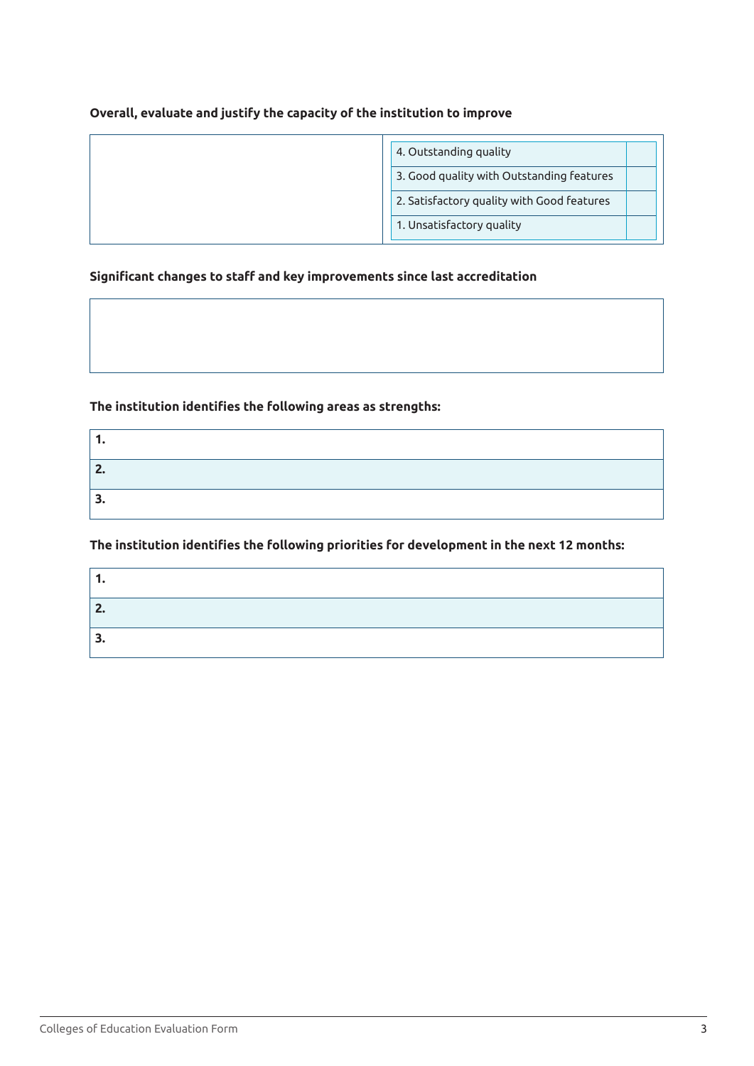#### **Overall, evaluate and justify the capacity of the institution to improve**

| 4. Outstanding quality                     |
|--------------------------------------------|
| 3. Good quality with Outstanding features  |
| 2. Satisfactory quality with Good features |
| 1. Unsatisfactory quality                  |

#### **Significant changes to staff and key improvements since last accreditation**

#### **The institution identifies the following areas as strengths:**

#### **The institution identifies the following priorities for development in the next 12 months:**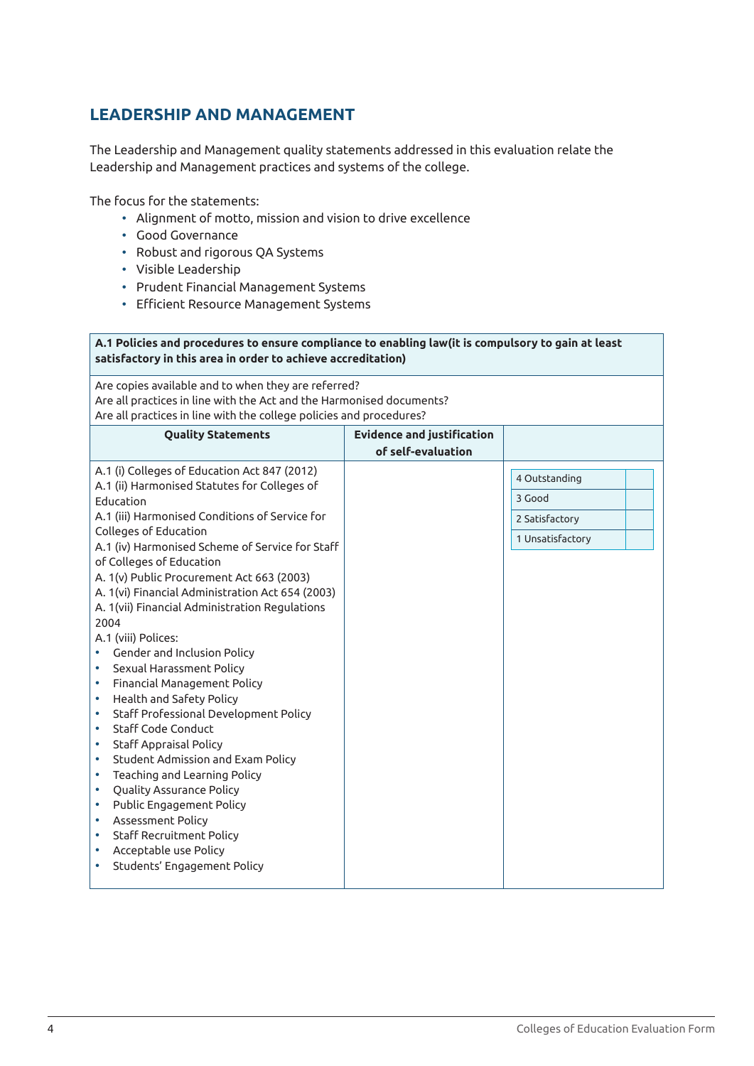# **LEADERSHIP AND MANAGEMENT**

The Leadership and Management quality statements addressed in this evaluation relate the Leadership and Management practices and systems of the college.

The focus for the statements:

- Alignment of motto, mission and vision to drive excellence
- Good Governance
- Robust and rigorous QA Systems
- Visible Leadership
- Prudent Financial Management Systems
- Efficient Resource Management Systems

#### **A.1 Policies and procedures to ensure compliance to enabling law(it is compulsory to gain at least satisfactory in this area in order to achieve accreditation)**

Are copies available and to when they are referred? Are all practices in line with the Act and the Harmonised documents? Are all practices in line with the college policies and procedures?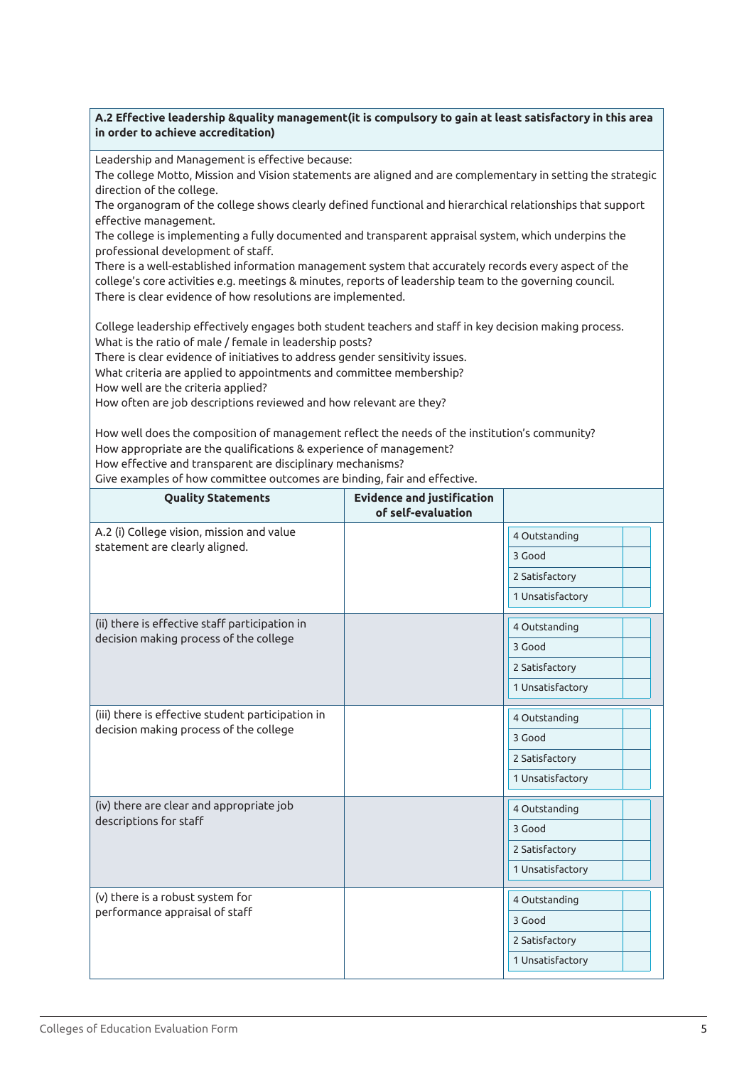#### **A.2 Effective leadership &quality management(it is compulsory to gain at least satisfactory in this area in order to achieve accreditation)**

Leadership and Management is effective because:

The college Motto, Mission and Vision statements are aligned and are complementary in setting the strategic direction of the college.

The organogram of the college shows clearly defined functional and hierarchical relationships that support effective management.

The college is implementing a fully documented and transparent appraisal system, which underpins the professional development of staff.

There is a well-established information management system that accurately records every aspect of the college's core activities e.g. meetings & minutes, reports of leadership team to the governing council. There is clear evidence of how resolutions are implemented.

College leadership effectively engages both student teachers and staff in key decision making process. What is the ratio of male / female in leadership posts?

There is clear evidence of initiatives to address gender sensitivity issues.

What criteria are applied to appointments and committee membership?

How well are the criteria applied?

How often are job descriptions reviewed and how relevant are they?

How well does the composition of management reflect the needs of the institution's community? How appropriate are the qualifications & experience of management? How effective and transparent are disciplinary mechanisms?

Give examples of how committee outcomes are binding, fair and effective.

| <b>Quality Statements</b>                                                                   | <b>Evidence and justification</b><br>of self-evaluation |                  |
|---------------------------------------------------------------------------------------------|---------------------------------------------------------|------------------|
| A.2 (i) College vision, mission and value<br>statement are clearly aligned.                 |                                                         | 4 Outstanding    |
|                                                                                             |                                                         | 3 Good           |
|                                                                                             |                                                         | 2 Satisfactory   |
|                                                                                             |                                                         | 1 Unsatisfactory |
| (ii) there is effective staff participation in                                              |                                                         | 4 Outstanding    |
| decision making process of the college                                                      |                                                         | 3 Good           |
|                                                                                             |                                                         | 2 Satisfactory   |
|                                                                                             |                                                         | 1 Unsatisfactory |
| (iii) there is effective student participation in<br>decision making process of the college |                                                         | 4 Outstanding    |
|                                                                                             |                                                         | 3 Good           |
|                                                                                             |                                                         | 2 Satisfactory   |
|                                                                                             |                                                         | 1 Unsatisfactory |
| (iv) there are clear and appropriate job<br>descriptions for staff                          |                                                         | 4 Outstanding    |
|                                                                                             |                                                         | 3 Good           |
|                                                                                             |                                                         | 2 Satisfactory   |
|                                                                                             |                                                         | 1 Unsatisfactory |
| (v) there is a robust system for                                                            |                                                         | 4 Outstanding    |
| performance appraisal of staff                                                              |                                                         | 3 Good           |
|                                                                                             |                                                         | 2 Satisfactory   |
|                                                                                             |                                                         | 1 Unsatisfactory |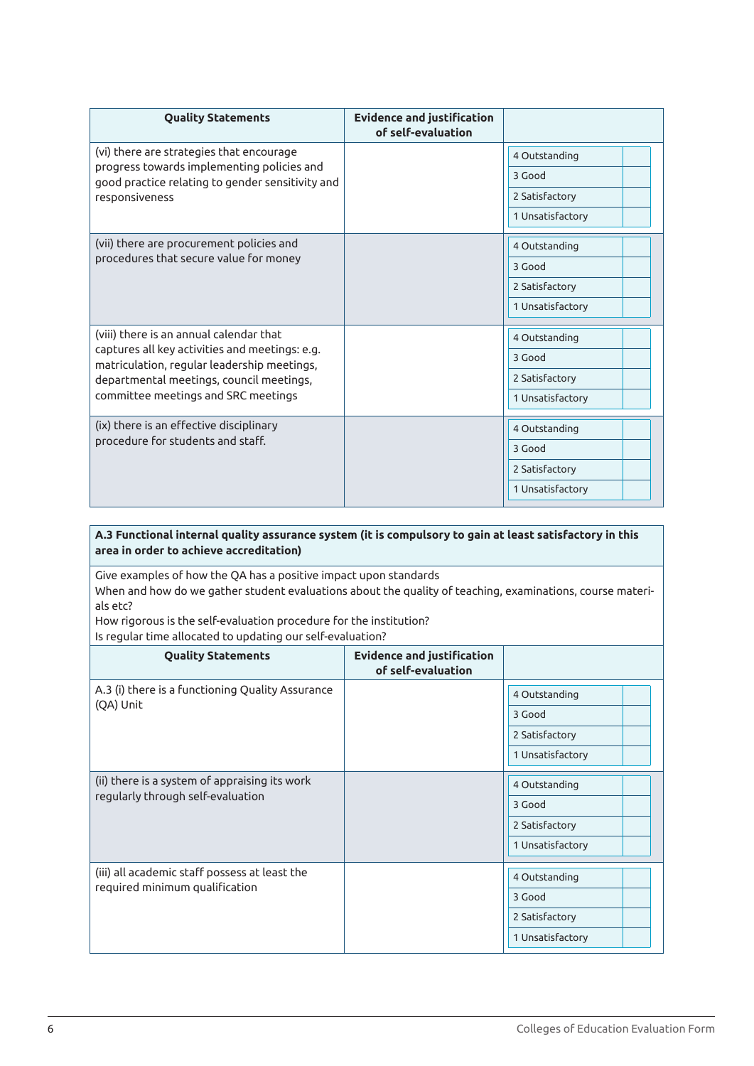| <b>Quality Statements</b>                                                                                                                                                                                                   | <b>Evidence and justification</b><br>of self-evaluation |                  |
|-----------------------------------------------------------------------------------------------------------------------------------------------------------------------------------------------------------------------------|---------------------------------------------------------|------------------|
| (vi) there are strategies that encourage                                                                                                                                                                                    |                                                         | 4 Outstanding    |
| progress towards implementing policies and<br>good practice relating to gender sensitivity and                                                                                                                              |                                                         | 3 Good           |
| responsiveness                                                                                                                                                                                                              |                                                         | 2 Satisfactory   |
|                                                                                                                                                                                                                             |                                                         | 1 Unsatisfactory |
| (vii) there are procurement policies and                                                                                                                                                                                    |                                                         | 4 Outstanding    |
| procedures that secure value for money                                                                                                                                                                                      |                                                         | 3 Good           |
|                                                                                                                                                                                                                             |                                                         | 2 Satisfactory   |
|                                                                                                                                                                                                                             |                                                         | 1 Unsatisfactory |
| (viii) there is an annual calendar that<br>captures all key activities and meetings: e.g.<br>matriculation, regular leadership meetings,<br>departmental meetings, council meetings,<br>committee meetings and SRC meetings |                                                         | 4 Outstanding    |
|                                                                                                                                                                                                                             |                                                         | 3 Good           |
|                                                                                                                                                                                                                             |                                                         | 2 Satisfactory   |
|                                                                                                                                                                                                                             |                                                         | 1 Unsatisfactory |
| (ix) there is an effective disciplinary<br>procedure for students and staff.                                                                                                                                                |                                                         | 4 Outstanding    |
|                                                                                                                                                                                                                             |                                                         | 3 Good           |
|                                                                                                                                                                                                                             |                                                         | 2 Satisfactory   |
|                                                                                                                                                                                                                             |                                                         | 1 Unsatisfactory |

**A.3 Functional internal quality assurance system (it is compulsory to gain at least satisfactory in this area in order to achieve accreditation)**

Give examples of how the QA has a positive impact upon standards When and how do we gather student evaluations about the quality of teaching, examinations, course materials etc? How rigorous is the self-evaluation procedure for the institution?

Is regular time allocated to updating our self-evaluation?

| <b>Quality Statements</b>                                                          | <b>Evidence and justification</b><br>of self-evaluation |                  |
|------------------------------------------------------------------------------------|---------------------------------------------------------|------------------|
| A.3 (i) there is a functioning Quality Assurance                                   |                                                         | 4 Outstanding    |
| (QA) Unit                                                                          |                                                         | 3 Good           |
|                                                                                    |                                                         | 2 Satisfactory   |
|                                                                                    |                                                         | 1 Unsatisfactory |
| (ii) there is a system of appraising its work<br>regularly through self-evaluation |                                                         | 4 Outstanding    |
|                                                                                    |                                                         | 3 Good           |
|                                                                                    |                                                         | 2 Satisfactory   |
|                                                                                    |                                                         | 1 Unsatisfactory |
| (iii) all academic staff possess at least the<br>required minimum qualification    |                                                         | 4 Outstanding    |
|                                                                                    |                                                         | 3 Good           |
|                                                                                    |                                                         | 2 Satisfactory   |
|                                                                                    |                                                         | 1 Unsatisfactory |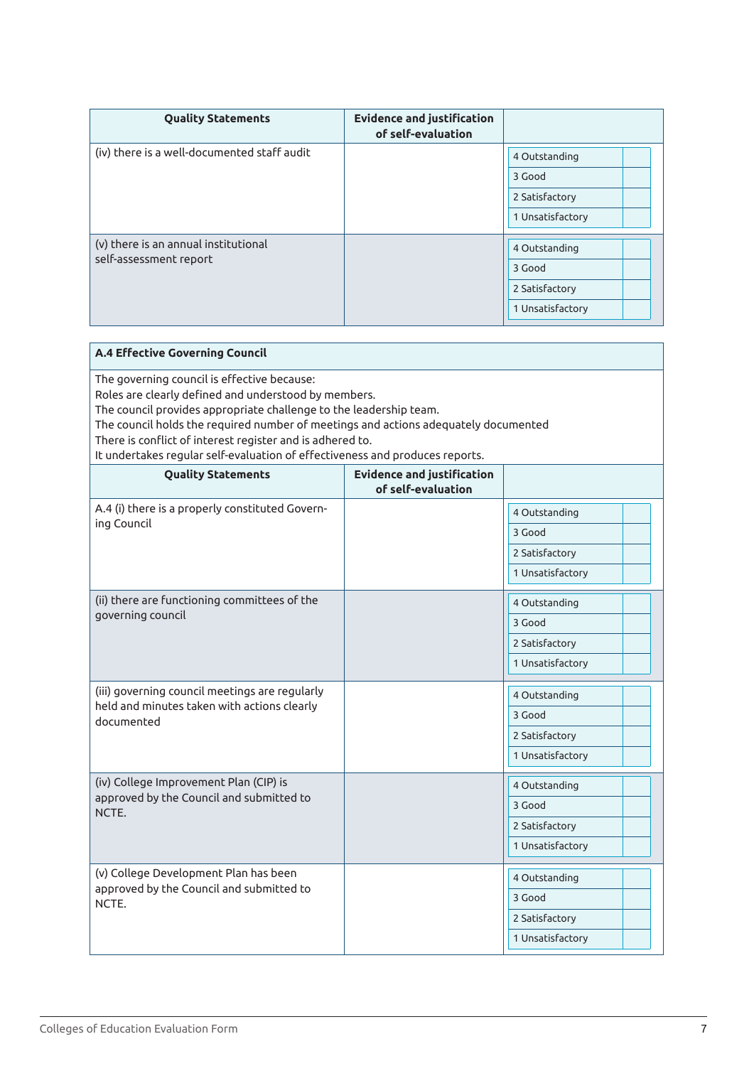| <b>Quality Statements</b>                                      | <b>Evidence and justification</b><br>of self-evaluation |                  |
|----------------------------------------------------------------|---------------------------------------------------------|------------------|
| (iv) there is a well-documented staff audit                    |                                                         | 4 Outstanding    |
|                                                                |                                                         | 3 Good           |
|                                                                |                                                         | 2 Satisfactory   |
|                                                                |                                                         | 1 Unsatisfactory |
|                                                                |                                                         |                  |
| (v) there is an annual institutional<br>self-assessment report |                                                         | 4 Outstanding    |
|                                                                |                                                         | 3 Good           |
|                                                                |                                                         | 2 Satisfactory   |
|                                                                |                                                         | 1 Unsatisfactory |

| The governing council is effective because:<br>Roles are clearly defined and understood by members.<br>The council provides appropriate challenge to the leadership team.<br>The council holds the required number of meetings and actions adequately documented<br>There is conflict of interest register and is adhered to.<br>It undertakes regular self-evaluation of effectiveness and produces reports.<br><b>Evidence and justification</b><br><b>Quality Statements</b><br>of self-evaluation<br>A.4 (i) there is a properly constituted Govern-<br>4 Outstanding<br>ing Council<br>3 Good<br>2 Satisfactory<br>1 Unsatisfactory<br>(ii) there are functioning committees of the<br>4 Outstanding<br>governing council<br>3 Good<br>2 Satisfactory<br>1 Unsatisfactory<br>(iii) governing council meetings are regularly<br>4 Outstanding<br>held and minutes taken with actions clearly<br>3 Good<br>documented<br>2 Satisfactory<br>1 Unsatisfactory<br>(iv) College Improvement Plan (CIP) is<br>4 Outstanding<br>approved by the Council and submitted to<br>3 Good<br>NCTE.<br>2 Satisfactory<br>1 Unsatisfactory<br>(v) College Development Plan has been<br>4 Outstanding<br>approved by the Council and submitted to<br>3 Good<br>NCTE.<br>2 Satisfactory<br>1 Unsatisfactory | A.4 Effective Governing Council |  |  |  |
|-----------------------------------------------------------------------------------------------------------------------------------------------------------------------------------------------------------------------------------------------------------------------------------------------------------------------------------------------------------------------------------------------------------------------------------------------------------------------------------------------------------------------------------------------------------------------------------------------------------------------------------------------------------------------------------------------------------------------------------------------------------------------------------------------------------------------------------------------------------------------------------------------------------------------------------------------------------------------------------------------------------------------------------------------------------------------------------------------------------------------------------------------------------------------------------------------------------------------------------------------------------------------------------------------|---------------------------------|--|--|--|
|                                                                                                                                                                                                                                                                                                                                                                                                                                                                                                                                                                                                                                                                                                                                                                                                                                                                                                                                                                                                                                                                                                                                                                                                                                                                                               |                                 |  |  |  |
|                                                                                                                                                                                                                                                                                                                                                                                                                                                                                                                                                                                                                                                                                                                                                                                                                                                                                                                                                                                                                                                                                                                                                                                                                                                                                               |                                 |  |  |  |
|                                                                                                                                                                                                                                                                                                                                                                                                                                                                                                                                                                                                                                                                                                                                                                                                                                                                                                                                                                                                                                                                                                                                                                                                                                                                                               |                                 |  |  |  |
|                                                                                                                                                                                                                                                                                                                                                                                                                                                                                                                                                                                                                                                                                                                                                                                                                                                                                                                                                                                                                                                                                                                                                                                                                                                                                               |                                 |  |  |  |
|                                                                                                                                                                                                                                                                                                                                                                                                                                                                                                                                                                                                                                                                                                                                                                                                                                                                                                                                                                                                                                                                                                                                                                                                                                                                                               |                                 |  |  |  |
|                                                                                                                                                                                                                                                                                                                                                                                                                                                                                                                                                                                                                                                                                                                                                                                                                                                                                                                                                                                                                                                                                                                                                                                                                                                                                               |                                 |  |  |  |
|                                                                                                                                                                                                                                                                                                                                                                                                                                                                                                                                                                                                                                                                                                                                                                                                                                                                                                                                                                                                                                                                                                                                                                                                                                                                                               |                                 |  |  |  |
|                                                                                                                                                                                                                                                                                                                                                                                                                                                                                                                                                                                                                                                                                                                                                                                                                                                                                                                                                                                                                                                                                                                                                                                                                                                                                               |                                 |  |  |  |
|                                                                                                                                                                                                                                                                                                                                                                                                                                                                                                                                                                                                                                                                                                                                                                                                                                                                                                                                                                                                                                                                                                                                                                                                                                                                                               |                                 |  |  |  |
|                                                                                                                                                                                                                                                                                                                                                                                                                                                                                                                                                                                                                                                                                                                                                                                                                                                                                                                                                                                                                                                                                                                                                                                                                                                                                               |                                 |  |  |  |
|                                                                                                                                                                                                                                                                                                                                                                                                                                                                                                                                                                                                                                                                                                                                                                                                                                                                                                                                                                                                                                                                                                                                                                                                                                                                                               |                                 |  |  |  |
|                                                                                                                                                                                                                                                                                                                                                                                                                                                                                                                                                                                                                                                                                                                                                                                                                                                                                                                                                                                                                                                                                                                                                                                                                                                                                               |                                 |  |  |  |
|                                                                                                                                                                                                                                                                                                                                                                                                                                                                                                                                                                                                                                                                                                                                                                                                                                                                                                                                                                                                                                                                                                                                                                                                                                                                                               |                                 |  |  |  |
|                                                                                                                                                                                                                                                                                                                                                                                                                                                                                                                                                                                                                                                                                                                                                                                                                                                                                                                                                                                                                                                                                                                                                                                                                                                                                               |                                 |  |  |  |
|                                                                                                                                                                                                                                                                                                                                                                                                                                                                                                                                                                                                                                                                                                                                                                                                                                                                                                                                                                                                                                                                                                                                                                                                                                                                                               |                                 |  |  |  |
|                                                                                                                                                                                                                                                                                                                                                                                                                                                                                                                                                                                                                                                                                                                                                                                                                                                                                                                                                                                                                                                                                                                                                                                                                                                                                               |                                 |  |  |  |
|                                                                                                                                                                                                                                                                                                                                                                                                                                                                                                                                                                                                                                                                                                                                                                                                                                                                                                                                                                                                                                                                                                                                                                                                                                                                                               |                                 |  |  |  |
|                                                                                                                                                                                                                                                                                                                                                                                                                                                                                                                                                                                                                                                                                                                                                                                                                                                                                                                                                                                                                                                                                                                                                                                                                                                                                               |                                 |  |  |  |
|                                                                                                                                                                                                                                                                                                                                                                                                                                                                                                                                                                                                                                                                                                                                                                                                                                                                                                                                                                                                                                                                                                                                                                                                                                                                                               |                                 |  |  |  |
|                                                                                                                                                                                                                                                                                                                                                                                                                                                                                                                                                                                                                                                                                                                                                                                                                                                                                                                                                                                                                                                                                                                                                                                                                                                                                               |                                 |  |  |  |
|                                                                                                                                                                                                                                                                                                                                                                                                                                                                                                                                                                                                                                                                                                                                                                                                                                                                                                                                                                                                                                                                                                                                                                                                                                                                                               |                                 |  |  |  |
|                                                                                                                                                                                                                                                                                                                                                                                                                                                                                                                                                                                                                                                                                                                                                                                                                                                                                                                                                                                                                                                                                                                                                                                                                                                                                               |                                 |  |  |  |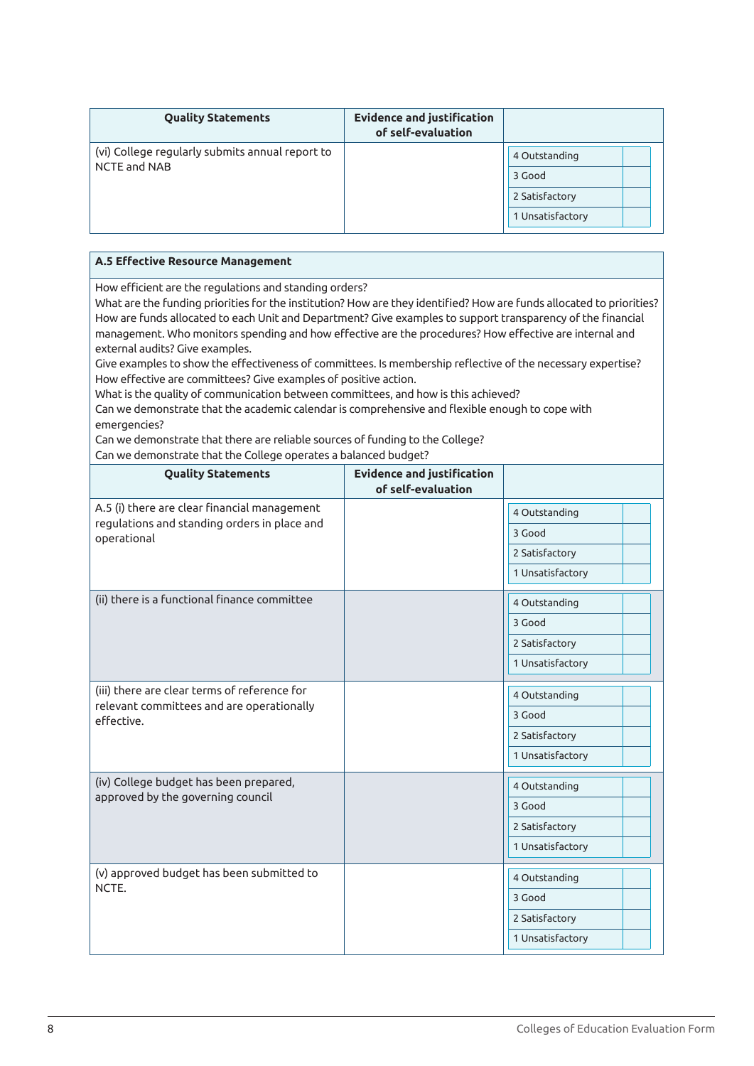| <b>Quality Statements</b>                                       | <b>Evidence and justification</b><br>of self-evaluation |                                    |
|-----------------------------------------------------------------|---------------------------------------------------------|------------------------------------|
| (vi) College regularly submits annual report to<br>NCTE and NAB |                                                         | 4 Outstanding<br>3 Good            |
|                                                                 |                                                         | 2 Satisfactory<br>1 Unsatisfactory |

| A.5 Effective Resource Management                                                                                    |
|----------------------------------------------------------------------------------------------------------------------|
| How efficient are the regulations and standing orders?                                                               |
| What are the funding priorities for the institution? How are they identified? How are funds allocated to priorities? |
| How are funds allocated to each Unit and Department? Give examples to support transparency of the financial          |
| management. Who monitors spending and how effective are the procedures? How effective are internal and               |
| external audits? Give examples.                                                                                      |
| Give examples to show the effectiveness of committees. Is membership reflective of the necessary expertise?          |
| How effective are committees? Give examples of positive action.                                                      |
| What is the quality of communication between committees, and how is this achieved?                                   |
| Can we demonstrate that the academic calendar is comprehensive and flexible enough to cope with                      |
| emergencies?                                                                                                         |

Can we demonstrate that there are reliable sources of funding to the College?

Can we demonstrate that the College operates a balanced budget?

| <b>Quality Statements</b>                                   | <b>Evidence and justification</b><br>of self-evaluation |                  |  |
|-------------------------------------------------------------|---------------------------------------------------------|------------------|--|
| A.5 (i) there are clear financial management                |                                                         | 4 Outstanding    |  |
| regulations and standing orders in place and<br>operational |                                                         | 3 Good           |  |
|                                                             |                                                         | 2 Satisfactory   |  |
|                                                             |                                                         | 1 Unsatisfactory |  |
| (ii) there is a functional finance committee                |                                                         | 4 Outstanding    |  |
|                                                             |                                                         | 3 Good           |  |
|                                                             |                                                         | 2 Satisfactory   |  |
|                                                             |                                                         | 1 Unsatisfactory |  |
| (iii) there are clear terms of reference for                |                                                         | 4 Outstanding    |  |
| relevant committees and are operationally<br>effective.     |                                                         | 3 Good           |  |
|                                                             |                                                         | 2 Satisfactory   |  |
|                                                             |                                                         | 1 Unsatisfactory |  |
| (iv) College budget has been prepared,                      |                                                         | 4 Outstanding    |  |
| approved by the governing council                           |                                                         | 3 Good           |  |
|                                                             |                                                         | 2 Satisfactory   |  |
|                                                             |                                                         | 1 Unsatisfactory |  |
| (v) approved budget has been submitted to                   |                                                         | 4 Outstanding    |  |
| NCTF.                                                       |                                                         | 3 Good           |  |
|                                                             |                                                         | 2 Satisfactory   |  |
|                                                             |                                                         | 1 Unsatisfactory |  |
|                                                             |                                                         |                  |  |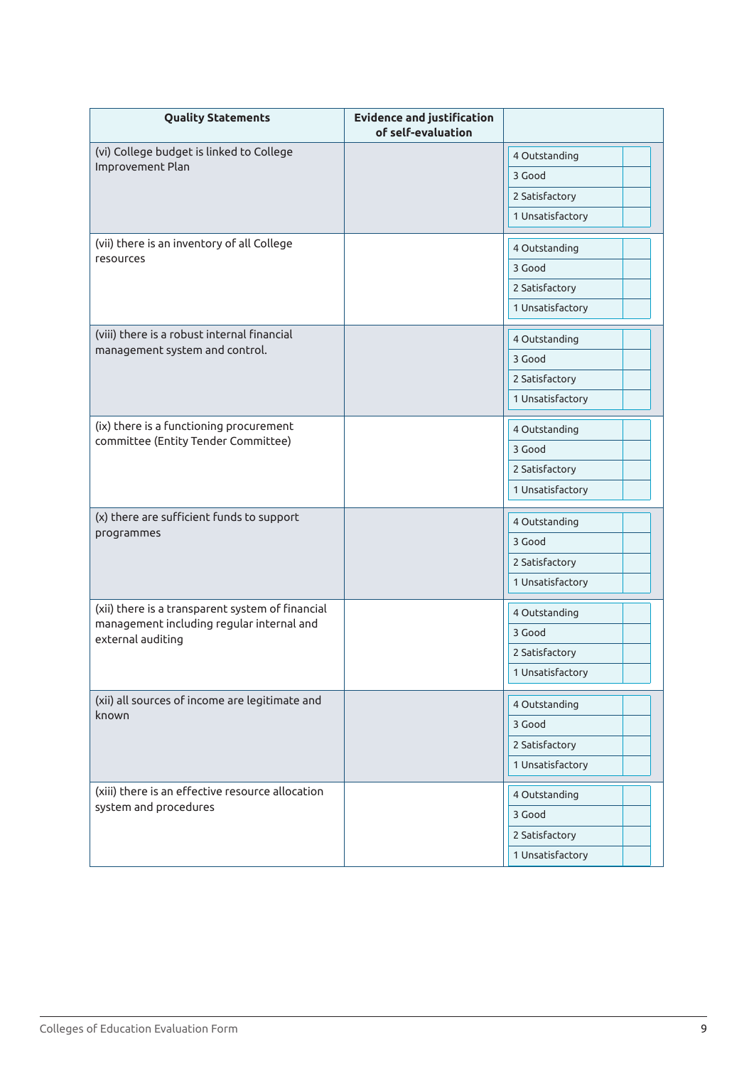| <b>Quality Statements</b>                                                                     | <b>Evidence and justification</b><br>of self-evaluation |                         |
|-----------------------------------------------------------------------------------------------|---------------------------------------------------------|-------------------------|
| (vi) College budget is linked to College                                                      |                                                         | 4 Outstanding           |
| Improvement Plan                                                                              |                                                         | 3 Good                  |
|                                                                                               |                                                         | 2 Satisfactory          |
|                                                                                               |                                                         | 1 Unsatisfactory        |
| (vii) there is an inventory of all College                                                    |                                                         | 4 Outstanding           |
| resources                                                                                     |                                                         | 3 Good                  |
|                                                                                               |                                                         | 2 Satisfactory          |
|                                                                                               |                                                         | 1 Unsatisfactory        |
| (viii) there is a robust internal financial                                                   |                                                         | 4 Outstanding           |
| management system and control.                                                                |                                                         | 3 Good                  |
|                                                                                               |                                                         | 2 Satisfactory          |
|                                                                                               |                                                         | 1 Unsatisfactory        |
| (ix) there is a functioning procurement                                                       |                                                         | 4 Outstanding           |
| committee (Entity Tender Committee)                                                           |                                                         | 3 Good                  |
|                                                                                               |                                                         | 2 Satisfactory          |
|                                                                                               |                                                         | 1 Unsatisfactory        |
| (x) there are sufficient funds to support                                                     |                                                         |                         |
| programmes                                                                                    |                                                         | 4 Outstanding<br>3 Good |
|                                                                                               |                                                         | 2 Satisfactory          |
|                                                                                               |                                                         | 1 Unsatisfactory        |
|                                                                                               |                                                         |                         |
| (xii) there is a transparent system of financial<br>management including regular internal and |                                                         | 4 Outstanding           |
| external auditing                                                                             |                                                         | 3 Good                  |
|                                                                                               |                                                         | 2 Satisfactory          |
|                                                                                               |                                                         | 1 Unsatisfactory        |
| (xii) all sources of income are legitimate and                                                |                                                         | 4 Outstanding           |
| known                                                                                         |                                                         | 3 Good                  |
|                                                                                               |                                                         | 2 Satisfactory          |
|                                                                                               |                                                         | 1 Unsatisfactory        |
| (xiii) there is an effective resource allocation                                              |                                                         | 4 Outstanding           |
| system and procedures                                                                         |                                                         | 3 Good                  |
|                                                                                               |                                                         | 2 Satisfactory          |
|                                                                                               |                                                         | 1 Unsatisfactory        |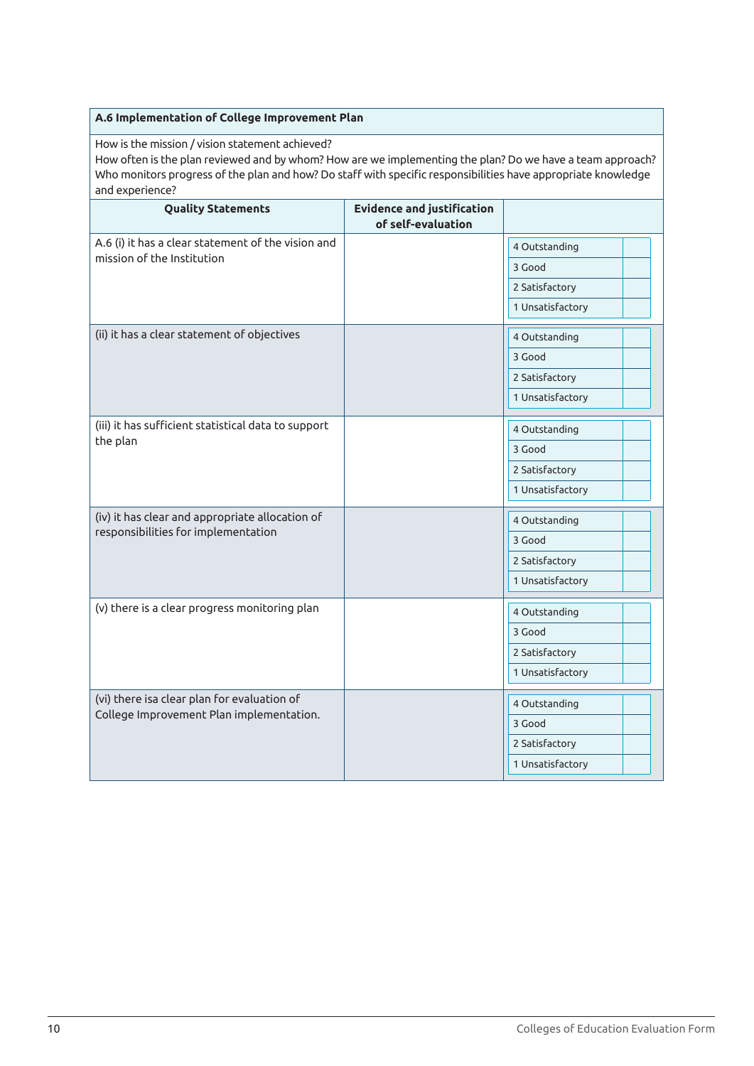#### **A.6 Implementation of College Improvement Plan**

How is the mission / vision statement achieved?

How often is the plan reviewed and by whom? How are we implementing the plan? Do we have a team approach? Who monitors progress of the plan and how? Do staff with specific responsibilities have appropriate knowledge and experience?

| <b>Quality Statements</b>                           | <b>Evidence and justification</b><br>of self-evaluation |                  |
|-----------------------------------------------------|---------------------------------------------------------|------------------|
| A.6 (i) it has a clear statement of the vision and  |                                                         | 4 Outstanding    |
| mission of the Institution                          |                                                         | 3 Good           |
|                                                     |                                                         | 2 Satisfactory   |
|                                                     |                                                         | 1 Unsatisfactory |
| (ii) it has a clear statement of objectives         |                                                         | 4 Outstanding    |
|                                                     |                                                         | 3 Good           |
|                                                     |                                                         | 2 Satisfactory   |
|                                                     |                                                         | 1 Unsatisfactory |
| (iii) it has sufficient statistical data to support |                                                         | 4 Outstanding    |
| the plan                                            |                                                         | 3 Good           |
|                                                     |                                                         | 2 Satisfactory   |
|                                                     |                                                         | 1 Unsatisfactory |
| (iv) it has clear and appropriate allocation of     |                                                         | 4 Outstanding    |
| responsibilities for implementation                 |                                                         | 3 Good           |
|                                                     |                                                         | 2 Satisfactory   |
|                                                     |                                                         | 1 Unsatisfactory |
|                                                     |                                                         |                  |
| (v) there is a clear progress monitoring plan       |                                                         | 4 Outstanding    |
|                                                     |                                                         | 3 Good           |
|                                                     |                                                         | 2 Satisfactory   |
|                                                     |                                                         | 1 Unsatisfactory |
| (vi) there isa clear plan for evaluation of         |                                                         | 4 Outstanding    |
| College Improvement Plan implementation.            |                                                         | 3 Good           |
|                                                     |                                                         | 2 Satisfactory   |
|                                                     |                                                         | 1 Unsatisfactory |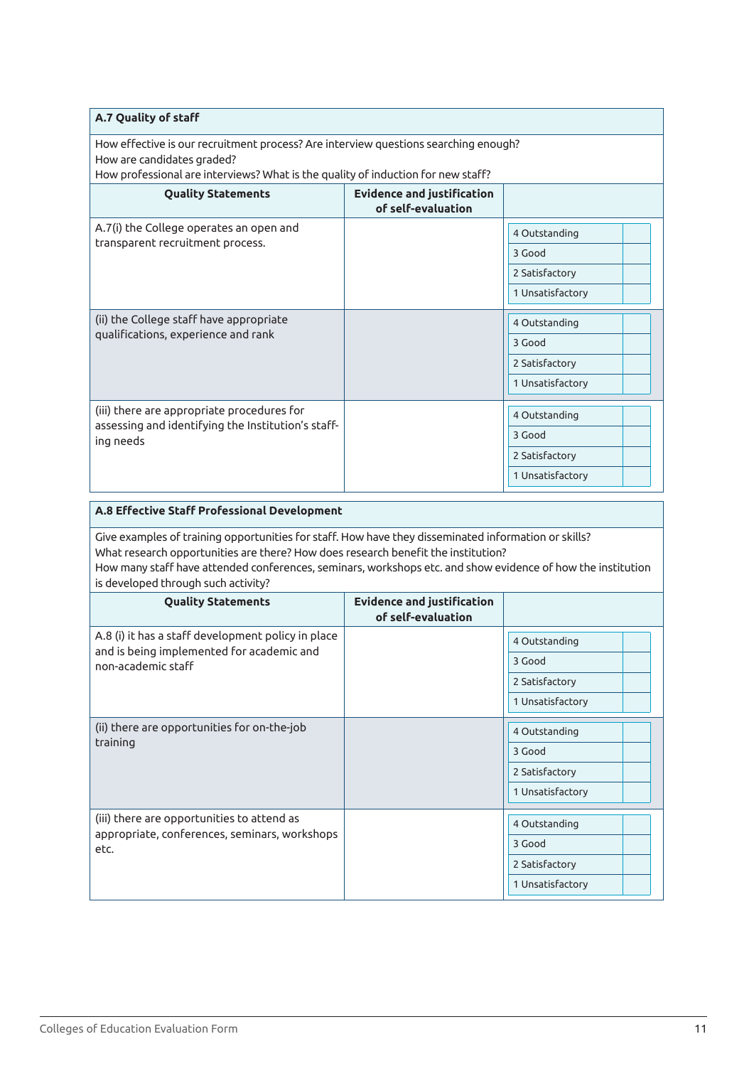#### **A.7 Quality of staff**

How effective is our recruitment process? Are interview questions searching enough? How are candidates graded?

 $\mid$  How professional are interviews? What is the quality of induction for new staff?

| <b>Quality Statements</b>                                                                                     | <b>Evidence and justification</b><br>of self-evaluation |                  |  |
|---------------------------------------------------------------------------------------------------------------|---------------------------------------------------------|------------------|--|
| A.7(i) the College operates an open and                                                                       |                                                         | 4 Outstanding    |  |
| transparent recruitment process.                                                                              |                                                         | 3 Good           |  |
|                                                                                                               |                                                         | 2 Satisfactory   |  |
|                                                                                                               |                                                         | 1 Unsatisfactory |  |
| (ii) the College staff have appropriate<br>qualifications, experience and rank                                |                                                         | 4 Outstanding    |  |
|                                                                                                               |                                                         | 3 Good           |  |
|                                                                                                               |                                                         | 2 Satisfactory   |  |
|                                                                                                               |                                                         | 1 Unsatisfactory |  |
| (iii) there are appropriate procedures for<br>assessing and identifying the Institution's staff-<br>ing needs |                                                         | 4 Outstanding    |  |
|                                                                                                               |                                                         | 3 Good           |  |
|                                                                                                               |                                                         | 2 Satisfactory   |  |
|                                                                                                               |                                                         | 1 Unsatisfactory |  |

| A.8 Effective Staff Professional Development                                                                                                                                                                                                                                                                                                    |  |                  |  |
|-------------------------------------------------------------------------------------------------------------------------------------------------------------------------------------------------------------------------------------------------------------------------------------------------------------------------------------------------|--|------------------|--|
| Give examples of training opportunities for staff. How have they disseminated information or skills?<br>What research opportunities are there? How does research benefit the institution?<br>How many staff have attended conferences, seminars, workshops etc. and show evidence of how the institution<br>is developed through such activity? |  |                  |  |
| <b>Evidence and justification</b><br><b>Quality Statements</b><br>of self-evaluation                                                                                                                                                                                                                                                            |  |                  |  |
| A.8 (i) it has a staff development policy in place                                                                                                                                                                                                                                                                                              |  | 4 Outstanding    |  |
| and is being implemented for academic and<br>non-academic staff                                                                                                                                                                                                                                                                                 |  | 3 Good           |  |
|                                                                                                                                                                                                                                                                                                                                                 |  | 2 Satisfactory   |  |
|                                                                                                                                                                                                                                                                                                                                                 |  | 1 Unsatisfactory |  |
| (ii) there are opportunities for on-the-job                                                                                                                                                                                                                                                                                                     |  | 4 Outstanding    |  |
| training                                                                                                                                                                                                                                                                                                                                        |  | 3 Good           |  |
|                                                                                                                                                                                                                                                                                                                                                 |  | 2 Satisfactory   |  |
|                                                                                                                                                                                                                                                                                                                                                 |  | 1 Unsatisfactory |  |
| (iii) there are opportunities to attend as                                                                                                                                                                                                                                                                                                      |  | 4 Outstanding    |  |
| appropriate, conferences, seminars, workshops                                                                                                                                                                                                                                                                                                   |  | 3 Good           |  |
| etc.                                                                                                                                                                                                                                                                                                                                            |  | 2 Satisfactory   |  |
|                                                                                                                                                                                                                                                                                                                                                 |  | 1 Unsatisfactory |  |
|                                                                                                                                                                                                                                                                                                                                                 |  |                  |  |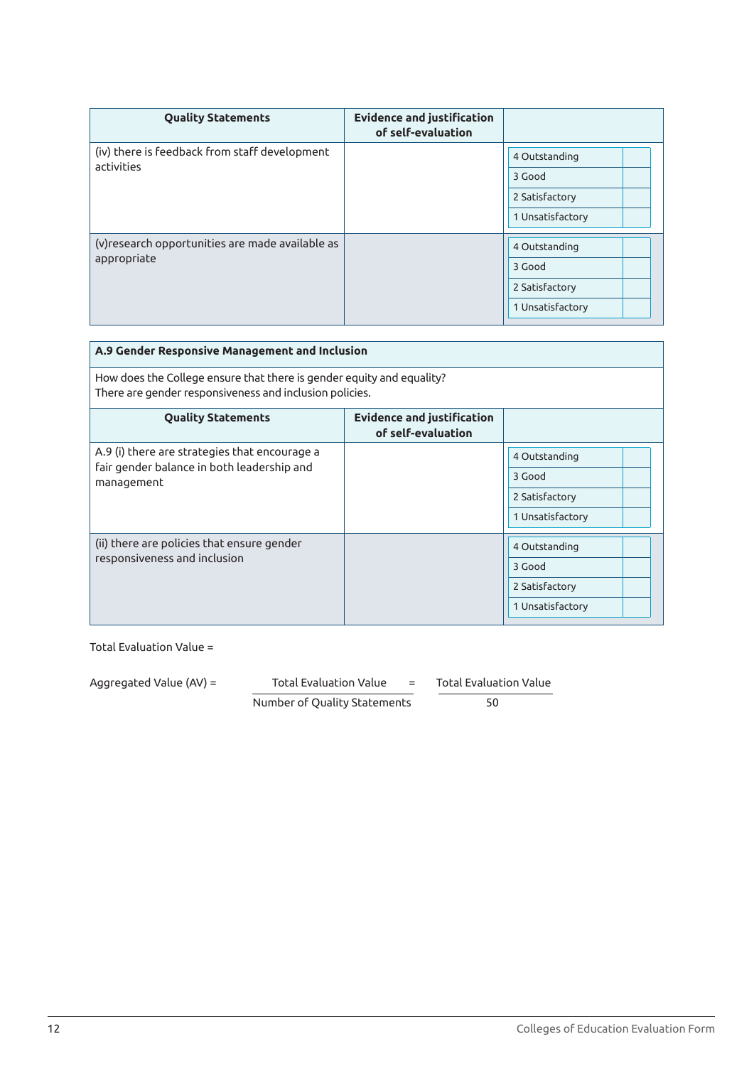| <b>Quality Statements</b>                                       | <b>Evidence and justification</b><br>of self-evaluation |                  |
|-----------------------------------------------------------------|---------------------------------------------------------|------------------|
| (iv) there is feedback from staff development<br>activities     |                                                         | 4 Outstanding    |
|                                                                 |                                                         | 3 Good           |
|                                                                 |                                                         | 2 Satisfactory   |
|                                                                 |                                                         | 1 Unsatisfactory |
| (v) research opportunities are made available as<br>appropriate |                                                         | 4 Outstanding    |
|                                                                 |                                                         |                  |
|                                                                 |                                                         | 3 Good           |
|                                                                 |                                                         | 2 Satisfactory   |
|                                                                 |                                                         | 1 Unsatisfactory |

| A.9 Gender Responsive Management and Inclusion                                                                                   |  |                                                               |  |
|----------------------------------------------------------------------------------------------------------------------------------|--|---------------------------------------------------------------|--|
| How does the College ensure that there is gender equity and equality?<br>There are gender responsiveness and inclusion policies. |  |                                                               |  |
| <b>Evidence and justification</b><br><b>Quality Statements</b><br>of self-evaluation                                             |  |                                                               |  |
| A.9 (i) there are strategies that encourage a<br>fair gender balance in both leadership and<br>management                        |  | 4 Outstanding<br>3 Good<br>2 Satisfactory<br>1 Unsatisfactory |  |
| (ii) there are policies that ensure gender<br>responsiveness and inclusion                                                       |  | 4 Outstanding<br>3 Good<br>2 Satisfactory<br>1 Unsatisfactory |  |

| Aggregated Value (AV) = | Total Evaluation Value<br>$=$ |  | Total Evaluation Value |
|-------------------------|-------------------------------|--|------------------------|
|                         | Number of Quality Statements  |  | 50                     |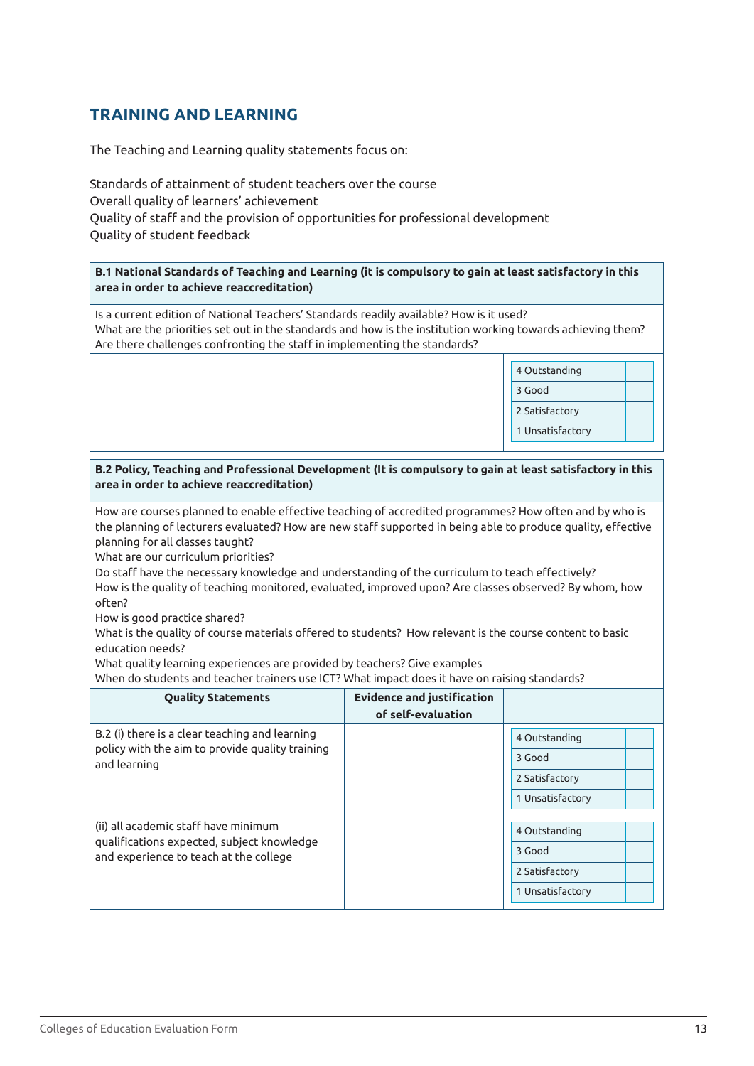# **TRAINING AND LEARNING**

The Teaching and Learning quality statements focus on:

Standards of attainment of student teachers over the course Overall quality of learners' achievement Quality of staff and the provision of opportunities for professional development Quality of student feedback

**B.1 National Standards of Teaching and Learning (it is compulsory to gain at least satisfactory in this area in order to achieve reaccreditation)**

Is a current edition of National Teachers' Standards readily available? How is it used? What are the priorities set out in the standards and how is the institution working towards achieving them? Are there challenges confronting the staff in implementing the standards?



#### **B.2 Policy, Teaching and Professional Development (It is compulsory to gain at least satisfactory in this area in order to achieve reaccreditation)**

How are courses planned to enable effective teaching of accredited programmes? How often and by who is the planning of lecturers evaluated? How are new staff supported in being able to produce quality, effective planning for all classes taught?

What are our curriculum priorities?

Do staff have the necessary knowledge and understanding of the curriculum to teach effectively? How is the quality of teaching monitored, evaluated, improved upon? Are classes observed? By whom, how often?

How is good practice shared?

What is the quality of course materials offered to students? How relevant is the course content to basic education needs?

What quality learning experiences are provided by teachers? Give examples

When do students and teacher trainers use ICT? What impact does it have on raising standards?

| <b>Quality Statements</b>                                                                                                    | <b>Evidence and justification</b><br>of self-evaluation |                         |
|------------------------------------------------------------------------------------------------------------------------------|---------------------------------------------------------|-------------------------|
| B.2 (i) there is a clear teaching and learning<br>policy with the aim to provide quality training<br>and learning            |                                                         | 4 Outstanding<br>3 Good |
|                                                                                                                              |                                                         | 2 Satisfactory          |
|                                                                                                                              |                                                         | 1 Unsatisfactory        |
| (ii) all academic staff have minimum<br>qualifications expected, subject knowledge<br>and experience to teach at the college |                                                         | 4 Outstanding           |
|                                                                                                                              |                                                         | 3 Good                  |
|                                                                                                                              |                                                         | 2 Satisfactory          |
|                                                                                                                              |                                                         | 1 Unsatisfactory        |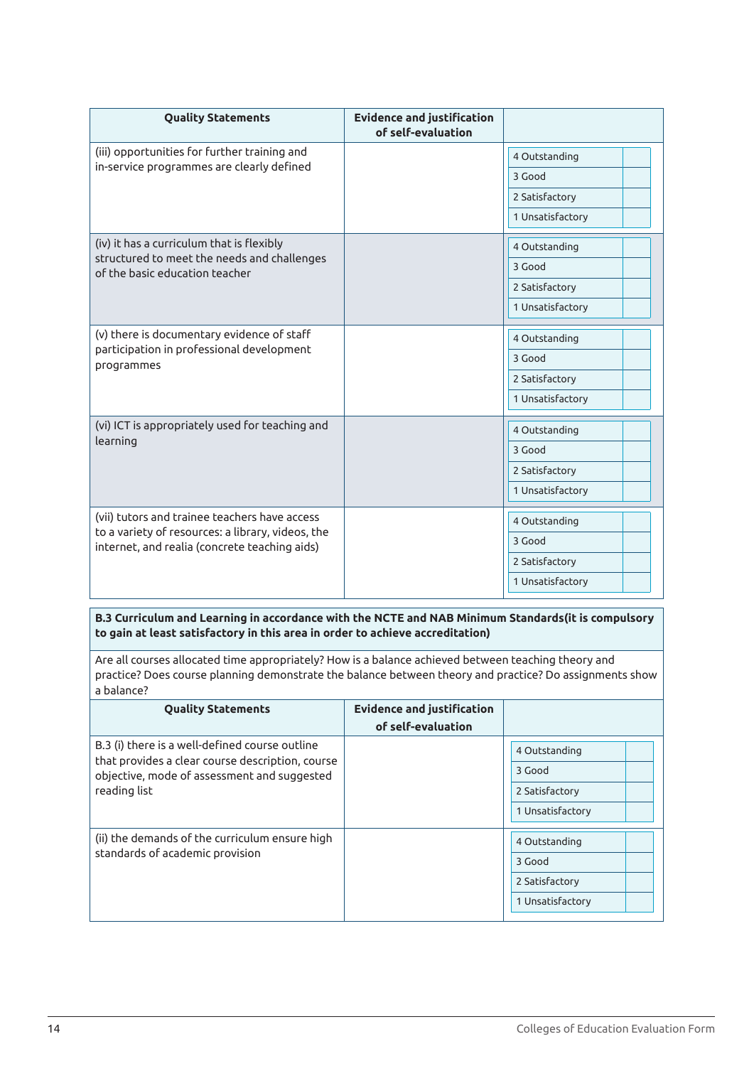| <b>Quality Statements</b>                                                                                                                           | <b>Evidence and justification</b><br>of self-evaluation |                  |
|-----------------------------------------------------------------------------------------------------------------------------------------------------|---------------------------------------------------------|------------------|
| (iii) opportunities for further training and                                                                                                        |                                                         | 4 Outstanding    |
| in-service programmes are clearly defined                                                                                                           |                                                         | 3 Good           |
|                                                                                                                                                     |                                                         | 2 Satisfactory   |
|                                                                                                                                                     |                                                         | 1 Unsatisfactory |
| (iv) it has a curriculum that is flexibly                                                                                                           |                                                         | 4 Outstanding    |
| structured to meet the needs and challenges<br>of the basic education teacher                                                                       |                                                         | 3 Good           |
|                                                                                                                                                     |                                                         | 2 Satisfactory   |
|                                                                                                                                                     |                                                         | 1 Unsatisfactory |
| (v) there is documentary evidence of staff                                                                                                          |                                                         | 4 Outstanding    |
| participation in professional development<br>programmes                                                                                             |                                                         | 3 Good           |
|                                                                                                                                                     |                                                         | 2 Satisfactory   |
|                                                                                                                                                     |                                                         | 1 Unsatisfactory |
| (vi) ICT is appropriately used for teaching and                                                                                                     |                                                         | 4 Outstanding    |
| learning                                                                                                                                            |                                                         | 3 Good           |
|                                                                                                                                                     |                                                         | 2 Satisfactory   |
|                                                                                                                                                     |                                                         | 1 Unsatisfactory |
| (vii) tutors and trainee teachers have access<br>to a variety of resources: a library, videos, the<br>internet, and realia (concrete teaching aids) |                                                         | 4 Outstanding    |
|                                                                                                                                                     |                                                         | 3 Good           |
|                                                                                                                                                     |                                                         | 2 Satisfactory   |
|                                                                                                                                                     |                                                         | 1 Unsatisfactory |

**B.3 Curriculum and Learning in accordance with the NCTE and NAB Minimum Standards(it is compulsory to gain at least satisfactory in this area in order to achieve accreditation)**

Are all courses allocated time appropriately? How is a balance achieved between teaching theory and practice? Does course planning demonstrate the balance between theory and practice? Do assignments show a balance?

| <b>Quality Statements</b>                                                                          | <b>Evidence and justification</b><br>of self-evaluation |                  |
|----------------------------------------------------------------------------------------------------|---------------------------------------------------------|------------------|
| B.3 (i) there is a well-defined course outline<br>that provides a clear course description, course |                                                         | 4 Outstanding    |
| objective, mode of assessment and suggested                                                        |                                                         | 3 Good           |
| reading list                                                                                       |                                                         | 2 Satisfactory   |
|                                                                                                    |                                                         | 1 Unsatisfactory |
| (ii) the demands of the curriculum ensure high<br>standards of academic provision                  |                                                         | 4 Outstanding    |
|                                                                                                    |                                                         | 3 Good           |
|                                                                                                    |                                                         | 2 Satisfactory   |
|                                                                                                    |                                                         | 1 Unsatisfactory |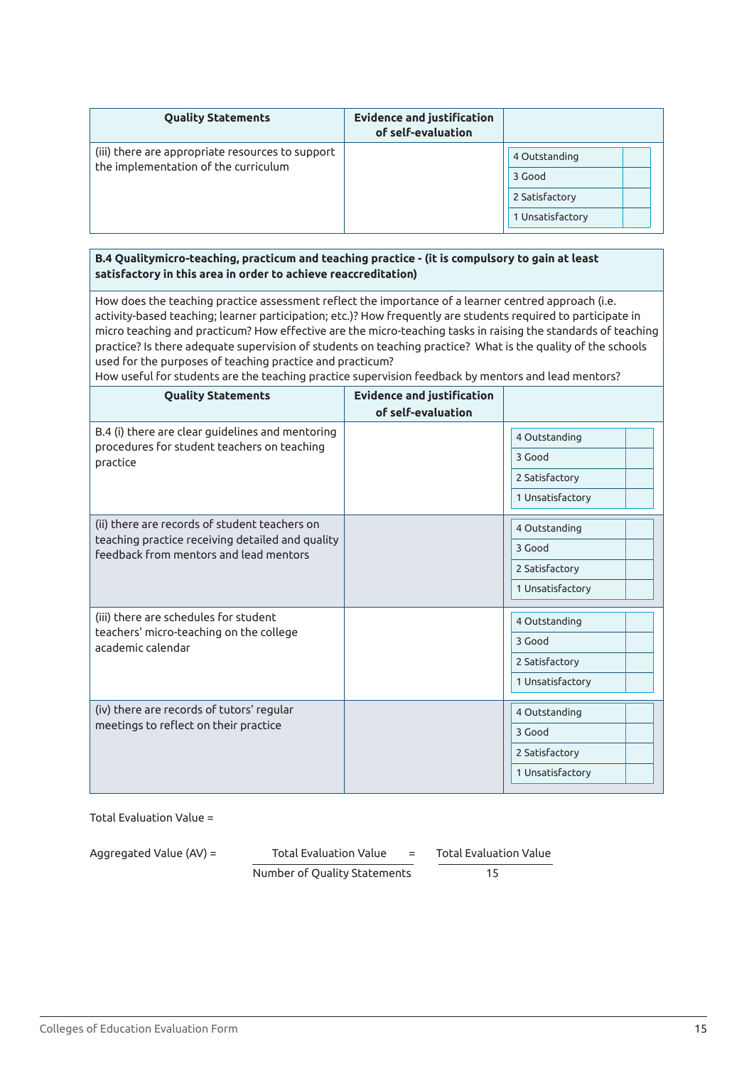| <b>Quality Statements</b>                                                                | <b>Evidence and justification</b><br>of self-evaluation |                                    |
|------------------------------------------------------------------------------------------|---------------------------------------------------------|------------------------------------|
| (iii) there are appropriate resources to support<br>the implementation of the curriculum |                                                         | 4 Outstanding<br>3 Good            |
|                                                                                          |                                                         | 2 Satisfactory<br>1 Unsatisfactory |

#### **B.4 Qualitymicro-teaching, practicum and teaching practice - (it is compulsory to gain at least satisfactory in this area in order to achieve reaccreditation)**

How does the teaching practice assessment reflect the importance of a learner centred approach (i.e. activity-based teaching; learner participation; etc.)? How frequently are students required to participate in micro teaching and practicum? How effective are the micro-teaching tasks in raising the standards of teaching practice? Is there adequate supervision of students on teaching practice? What is the quality of the schools used for the purposes of teaching practice and practicum?

How useful for students are the teaching practice supervision feedback by mentors and lead mentors?

| <b>Quality Statements</b>                                                                  | <b>Evidence and justification</b><br>of self-evaluation |                  |
|--------------------------------------------------------------------------------------------|---------------------------------------------------------|------------------|
| B.4 (i) there are clear guidelines and mentoring                                           |                                                         | 4 Outstanding    |
| procedures for student teachers on teaching<br>practice                                    |                                                         | 3 Good           |
|                                                                                            |                                                         | 2 Satisfactory   |
|                                                                                            |                                                         | 1 Unsatisfactory |
| (ii) there are records of student teachers on                                              |                                                         | 4 Outstanding    |
| teaching practice receiving detailed and quality<br>feedback from mentors and lead mentors |                                                         | 3 Good           |
|                                                                                            |                                                         | 2 Satisfactory   |
|                                                                                            |                                                         | 1 Unsatisfactory |
| (iii) there are schedules for student                                                      |                                                         | 4 Outstanding    |
| teachers' micro-teaching on the college<br>academic calendar                               |                                                         | 3 Good           |
|                                                                                            |                                                         | 2 Satisfactory   |
|                                                                                            |                                                         | 1 Unsatisfactory |
| (iv) there are records of tutors' regular                                                  |                                                         | 4 Outstanding    |
| meetings to reflect on their practice                                                      |                                                         | 3 Good           |
|                                                                                            |                                                         | 2 Satisfactory   |
|                                                                                            |                                                         | 1 Unsatisfactory |

Total Evaluation Value =

Aggregated Value (AV) =

Aggregated Value (AV) = 
$$
\overline{10} = \overline{10} = \overline{15}
$$

\nNumber of Quality Statements

\nOutput

\nDescription: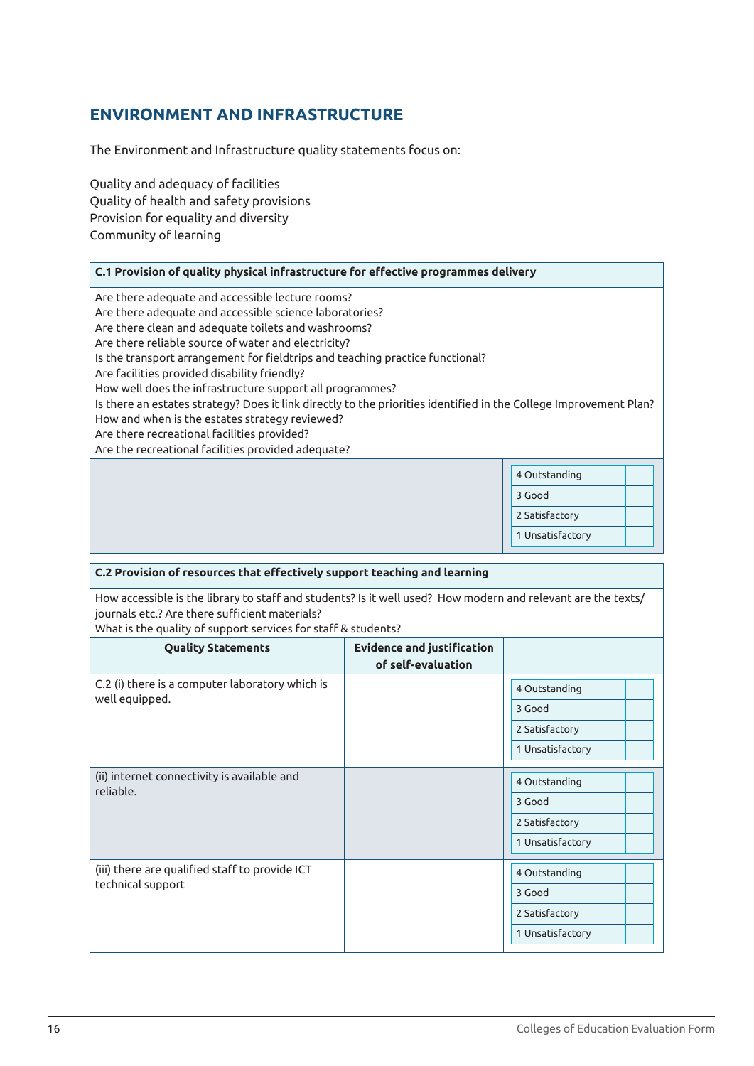# **ENVIRONMENT AND INFRASTRUCTURE**

The Environment and Infrastructure quality statements focus on:

Quality and adequacy of facilities Quality of health and safety provisions Provision for equality and diversity Community of learning

#### **C.1 Provision of quality physical infrastructure for effective programmes delivery**

Are there adequate and accessible lecture rooms?

Are there adequate and accessible science laboratories?

Are there clean and adequate toilets and washrooms?

Are there reliable source of water and electricity?

Is the transport arrangement for fieldtrips and teaching practice functional?

Are facilities provided disability friendly?

How well does the infrastructure support all programmes?

Is there an estates strategy? Does it link directly to the priorities identified in the College Improvement Plan? How and when is the estates strategy reviewed?

Are there recreational facilities provided?

Are the recreational facilities provided adequate?

| 4 Outstanding    |  |
|------------------|--|
| 3 Good           |  |
| 2 Satisfactory   |  |
| 1 Unsatisfactory |  |

#### **C.2 Provision of resources that effectively support teaching and learning**

How accessible is the library to staff and students? Is it well used? How modern and relevant are the texts/ journals etc.? Are there sufficient materials?

What is the quality of support services for staff & students?

| <b>Quality Statements</b>                                           | <b>Evidence and justification</b><br>of self-evaluation |                  |
|---------------------------------------------------------------------|---------------------------------------------------------|------------------|
| C.2 (i) there is a computer laboratory which is                     |                                                         | 4 Outstanding    |
| well equipped.                                                      |                                                         | 3 Good           |
|                                                                     |                                                         | 2 Satisfactory   |
|                                                                     |                                                         | 1 Unsatisfactory |
| (ii) internet connectivity is available and<br>reliable.            |                                                         | 4 Outstanding    |
|                                                                     |                                                         | 3 Good           |
|                                                                     |                                                         | 2 Satisfactory   |
|                                                                     |                                                         | 1 Unsatisfactory |
| (iii) there are qualified staff to provide ICT<br>technical support |                                                         | 4 Outstanding    |
|                                                                     |                                                         | 3 Good           |
|                                                                     |                                                         | 2 Satisfactory   |
|                                                                     |                                                         | 1 Unsatisfactory |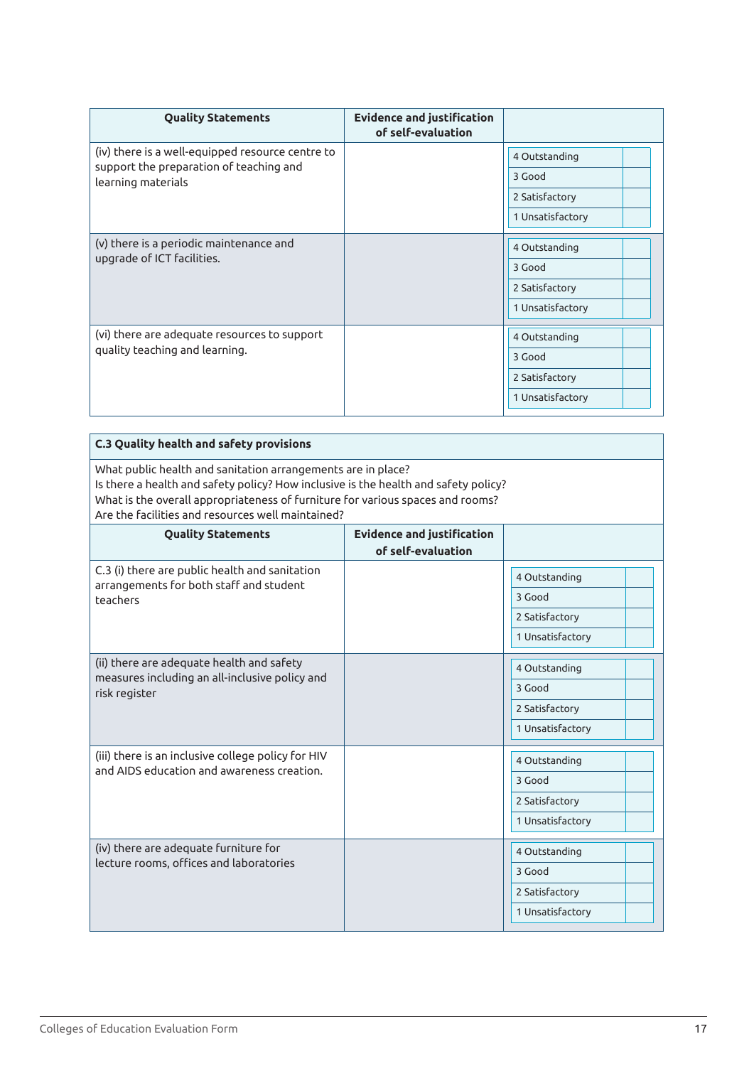| <b>Quality Statements</b>                                                      | <b>Evidence and justification</b><br>of self-evaluation |                  |
|--------------------------------------------------------------------------------|---------------------------------------------------------|------------------|
| (iv) there is a well-equipped resource centre to                               |                                                         | 4 Outstanding    |
| support the preparation of teaching and<br>learning materials                  |                                                         | 3 Good           |
|                                                                                |                                                         | 2 Satisfactory   |
|                                                                                |                                                         | 1 Unsatisfactory |
| (v) there is a periodic maintenance and                                        |                                                         | 4 Outstanding    |
| upgrade of ICT facilities.                                                     |                                                         | 3 Good           |
|                                                                                |                                                         | 2 Satisfactory   |
|                                                                                |                                                         | 1 Unsatisfactory |
| (vi) there are adequate resources to support<br>quality teaching and learning. |                                                         | 4 Outstanding    |
|                                                                                |                                                         | 3 Good           |
|                                                                                |                                                         | 2 Satisfactory   |
|                                                                                |                                                         | 1 Unsatisfactory |

| <b>C.3 Quality health and safety provisions</b>                                                                                                                                                                                                                                            |                                   |                  |
|--------------------------------------------------------------------------------------------------------------------------------------------------------------------------------------------------------------------------------------------------------------------------------------------|-----------------------------------|------------------|
| What public health and sanitation arrangements are in place?<br>Is there a health and safety policy? How inclusive is the health and safety policy?<br>What is the overall appropriateness of furniture for various spaces and rooms?<br>Are the facilities and resources well maintained? |                                   |                  |
| <b>Quality Statements</b>                                                                                                                                                                                                                                                                  | <b>Evidence and justification</b> |                  |
|                                                                                                                                                                                                                                                                                            | of self-evaluation                |                  |
| C.3 (i) there are public health and sanitation<br>arrangements for both staff and student                                                                                                                                                                                                  |                                   | 4 Outstanding    |
| teachers                                                                                                                                                                                                                                                                                   |                                   | 3 Good           |
|                                                                                                                                                                                                                                                                                            |                                   | 2 Satisfactory   |
|                                                                                                                                                                                                                                                                                            |                                   | 1 Unsatisfactory |
| (ii) there are adequate health and safety<br>measures including an all-inclusive policy and                                                                                                                                                                                                |                                   | 4 Outstanding    |
| risk register                                                                                                                                                                                                                                                                              |                                   | 3 Good           |
|                                                                                                                                                                                                                                                                                            |                                   | 2 Satisfactory   |
|                                                                                                                                                                                                                                                                                            |                                   | 1 Unsatisfactory |
| (iii) there is an inclusive college policy for HIV                                                                                                                                                                                                                                         |                                   | 4 Outstanding    |
| and AIDS education and awareness creation.                                                                                                                                                                                                                                                 |                                   | 3 Good           |
|                                                                                                                                                                                                                                                                                            |                                   | 2 Satisfactory   |
|                                                                                                                                                                                                                                                                                            |                                   | 1 Unsatisfactory |
| (iv) there are adequate furniture for                                                                                                                                                                                                                                                      |                                   | 4 Outstanding    |
| lecture rooms, offices and laboratories                                                                                                                                                                                                                                                    |                                   | 3 Good           |
|                                                                                                                                                                                                                                                                                            |                                   | 2 Satisfactory   |
|                                                                                                                                                                                                                                                                                            |                                   | 1 Unsatisfactory |
|                                                                                                                                                                                                                                                                                            |                                   |                  |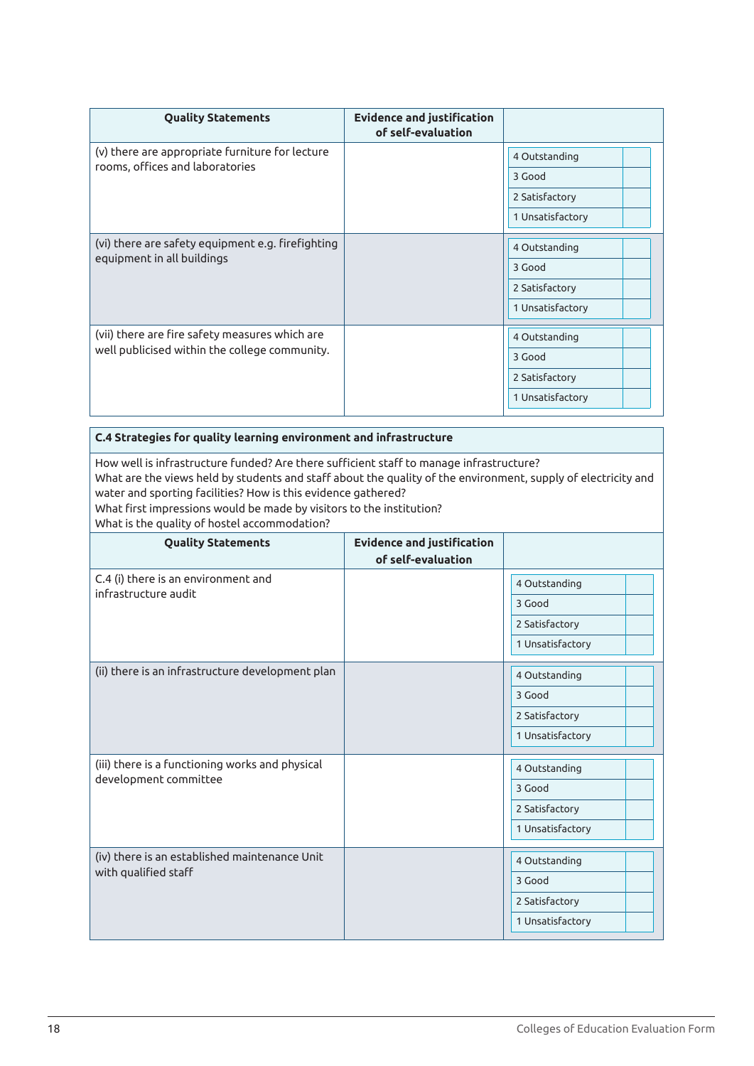| <b>Quality Statements</b>                                                                       | <b>Evidence and justification</b><br>of self-evaluation |                  |
|-------------------------------------------------------------------------------------------------|---------------------------------------------------------|------------------|
| (v) there are appropriate furniture for lecture                                                 |                                                         | 4 Outstanding    |
| rooms, offices and laboratories                                                                 |                                                         | 3 Good           |
|                                                                                                 |                                                         | 2 Satisfactory   |
|                                                                                                 |                                                         | 1 Unsatisfactory |
| (vi) there are safety equipment e.g. firefighting<br>equipment in all buildings                 |                                                         | 4 Outstanding    |
|                                                                                                 |                                                         | 3 Good           |
|                                                                                                 |                                                         | 2 Satisfactory   |
|                                                                                                 |                                                         | 1 Unsatisfactory |
| (vii) there are fire safety measures which are<br>well publicised within the college community. |                                                         | 4 Outstanding    |
|                                                                                                 |                                                         | 3 Good           |
|                                                                                                 |                                                         | 2 Satisfactory   |
|                                                                                                 |                                                         | 1 Unsatisfactory |

**C.4 Strategies for quality learning environment and infrastructure**

How well is infrastructure funded? Are there sufficient staff to manage infrastructure? What are the views held by students and staff about the quality of the environment, supply of electricity and water and sporting facilities? How is this evidence gathered? What first impressions would be made by visitors to the institution?

What is the quality of hostel accommodation?

| <b>Quality Statements</b>                        | <b>Evidence and justification</b><br>of self-evaluation |                  |
|--------------------------------------------------|---------------------------------------------------------|------------------|
| C.4 (i) there is an environment and              |                                                         | 4 Outstanding    |
| infrastructure audit                             |                                                         | 3 Good           |
|                                                  |                                                         | 2 Satisfactory   |
|                                                  |                                                         | 1 Unsatisfactory |
| (ii) there is an infrastructure development plan |                                                         | 4 Outstanding    |
|                                                  |                                                         | 3 Good           |
|                                                  |                                                         | 2 Satisfactory   |
|                                                  |                                                         | 1 Unsatisfactory |
| (iii) there is a functioning works and physical  |                                                         | 4 Outstanding    |
| development committee                            |                                                         | 3 Good           |
|                                                  |                                                         | 2 Satisfactory   |
|                                                  |                                                         | 1 Unsatisfactory |
| (iv) there is an established maintenance Unit    |                                                         | 4 Outstanding    |
| with qualified staff                             |                                                         | 3 Good           |
|                                                  |                                                         | 2 Satisfactory   |
|                                                  |                                                         | 1 Unsatisfactory |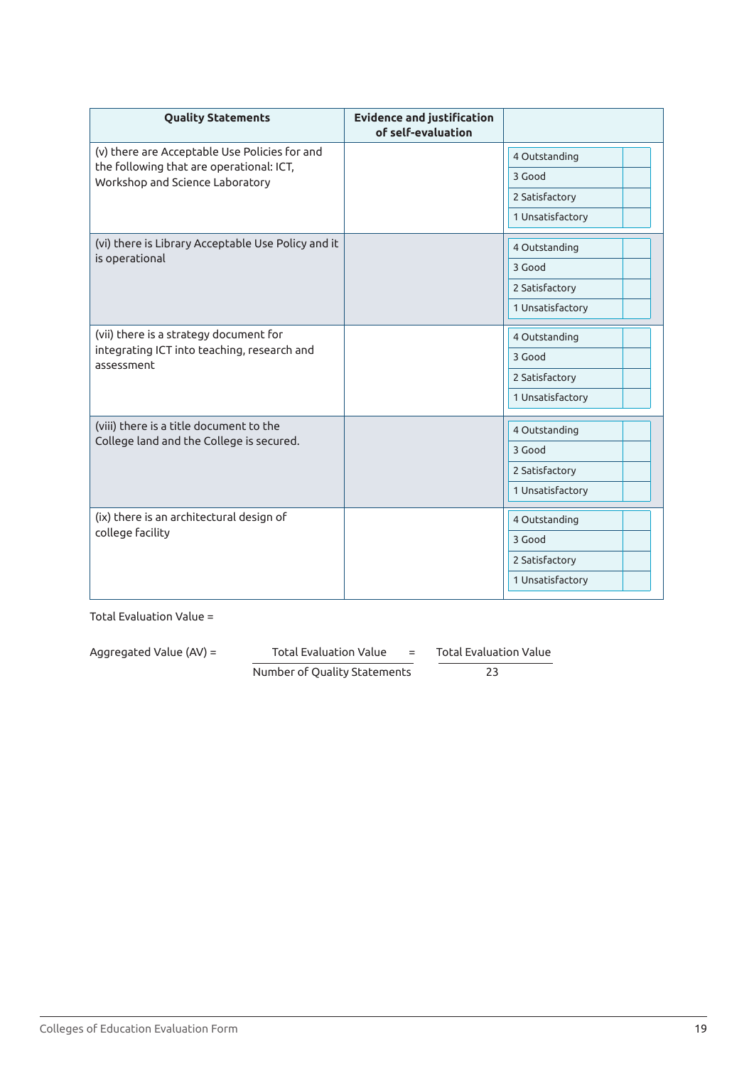| <b>Quality Statements</b>                                                   | <b>Evidence and justification</b><br>of self-evaluation |                  |
|-----------------------------------------------------------------------------|---------------------------------------------------------|------------------|
| (v) there are Acceptable Use Policies for and                               |                                                         | 4 Outstanding    |
| the following that are operational: ICT,<br>Workshop and Science Laboratory |                                                         | 3 Good           |
|                                                                             |                                                         | 2 Satisfactory   |
|                                                                             |                                                         | 1 Unsatisfactory |
| (vi) there is Library Acceptable Use Policy and it                          |                                                         | 4 Outstanding    |
| is operational                                                              |                                                         | 3 Good           |
|                                                                             |                                                         | 2 Satisfactory   |
|                                                                             |                                                         | 1 Unsatisfactory |
| (vii) there is a strategy document for                                      |                                                         | 4 Outstanding    |
| integrating ICT into teaching, research and<br>assessment                   |                                                         | 3 Good           |
|                                                                             |                                                         | 2 Satisfactory   |
|                                                                             |                                                         | 1 Unsatisfactory |
| (viii) there is a title document to the                                     |                                                         | 4 Outstanding    |
| College land and the College is secured.                                    |                                                         | 3 Good           |
|                                                                             |                                                         | 2 Satisfactory   |
|                                                                             |                                                         | 1 Unsatisfactory |
| (ix) there is an architectural design of<br>college facility                |                                                         | 4 Outstanding    |
|                                                                             |                                                         | 3 Good           |
|                                                                             |                                                         | 2 Satisfactory   |
|                                                                             |                                                         | 1 Unsatisfactory |

Aggregated Value (AV) = Total Evaluation Value = Total Evaluation Value

Number of Quality Statements 23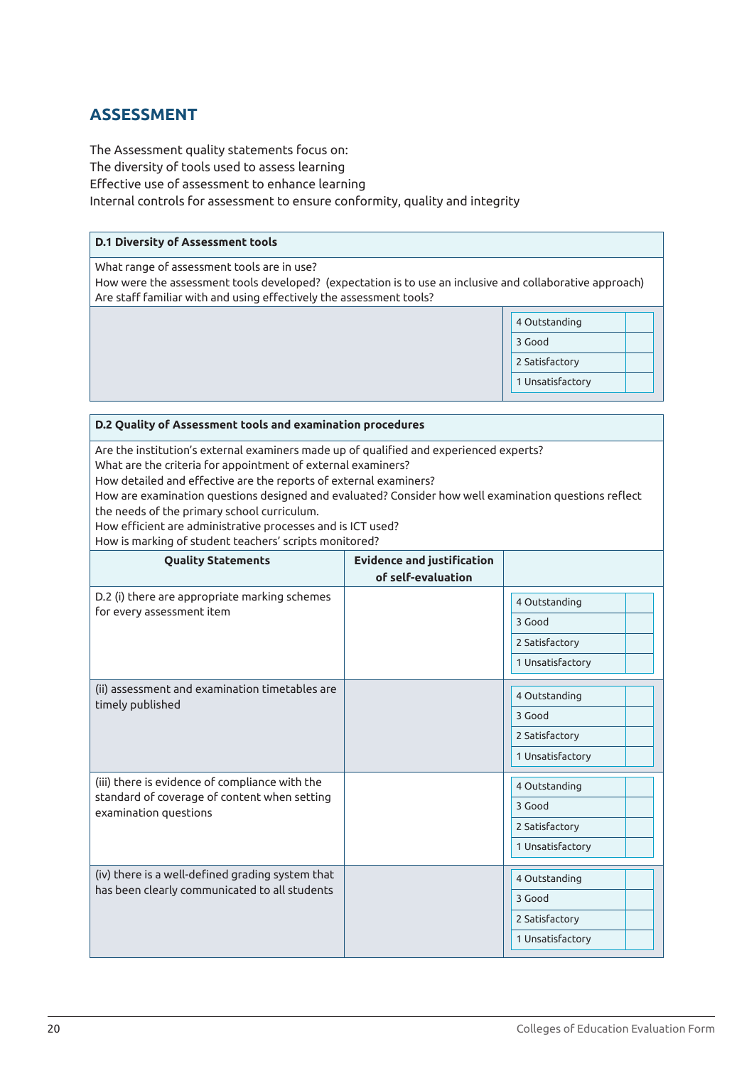# **ASSESSMENT**

The Assessment quality statements focus on: The diversity of tools used to assess learning Effective use of assessment to enhance learning Internal controls for assessment to ensure conformity, quality and integrity

# **D.1 Diversity of Assessment tools** What range of assessment tools are in use? How were the assessment tools developed? (expectation is to use an inclusive and collaborative approach) Are staff familiar with and using effectively the assessment tools? 4 Outstanding 3 Good 2 Satisfactory 1 Unsatisfactory

#### **D.2 Quality of Assessment tools and examination procedures**

Are the institution's external examiners made up of qualified and experienced experts?

What are the criteria for appointment of external examiners?

How detailed and effective are the reports of external examiners?

How are examination questions designed and evaluated? Consider how well examination questions reflect the needs of the primary school curriculum.

How efficient are administrative processes and is ICT used?

How is marking of student teachers' scripts monitored?

| <b>Quality Statements</b>                                                                                               | <b>Evidence and justification</b><br>of self-evaluation |                  |
|-------------------------------------------------------------------------------------------------------------------------|---------------------------------------------------------|------------------|
| D.2 (i) there are appropriate marking schemes                                                                           |                                                         | 4 Outstanding    |
| for every assessment item                                                                                               |                                                         | 3 Good           |
|                                                                                                                         |                                                         | 2 Satisfactory   |
|                                                                                                                         |                                                         | 1 Unsatisfactory |
| (ii) assessment and examination timetables are<br>timely published                                                      |                                                         | 4 Outstanding    |
|                                                                                                                         |                                                         | 3 Good           |
|                                                                                                                         |                                                         | 2 Satisfactory   |
|                                                                                                                         |                                                         | 1 Unsatisfactory |
| (iii) there is evidence of compliance with the<br>standard of coverage of content when setting<br>examination questions |                                                         | 4 Outstanding    |
|                                                                                                                         |                                                         | 3 Good           |
|                                                                                                                         |                                                         | 2 Satisfactory   |
|                                                                                                                         |                                                         | 1 Unsatisfactory |
| (iv) there is a well-defined grading system that                                                                        |                                                         | 4 Outstanding    |
| has been clearly communicated to all students                                                                           |                                                         | 3 Good           |
|                                                                                                                         |                                                         | 2 Satisfactory   |
|                                                                                                                         |                                                         | 1 Unsatisfactory |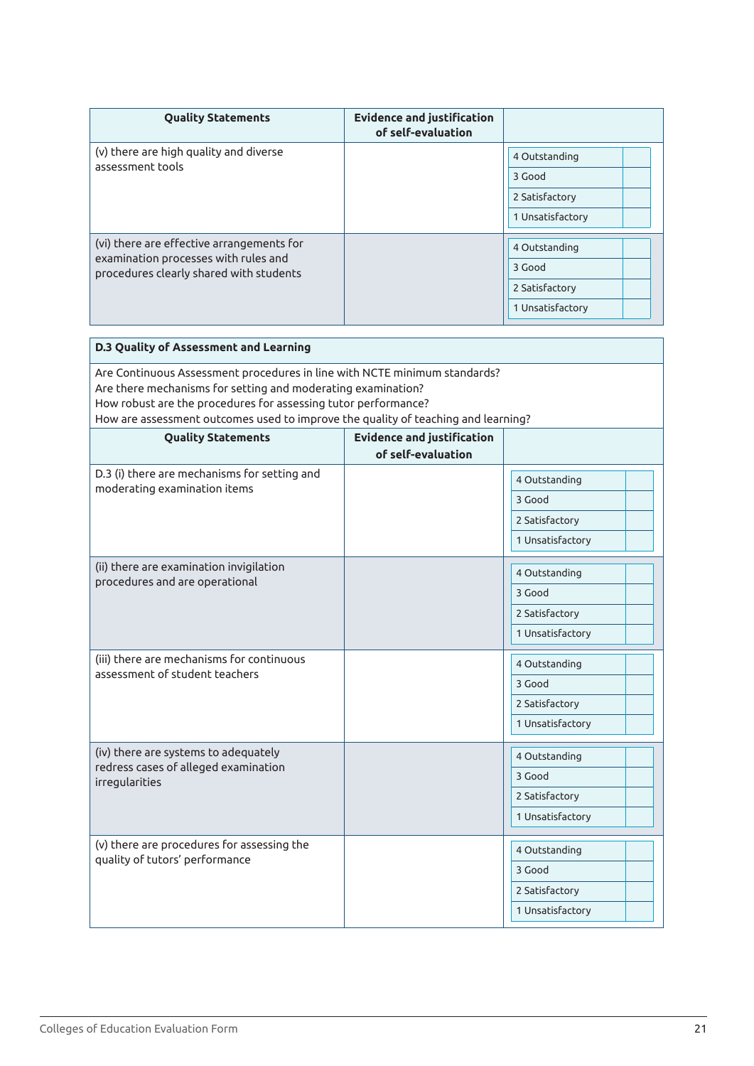| <b>Quality Statements</b>                                                       | <b>Evidence and justification</b><br>of self-evaluation |                  |
|---------------------------------------------------------------------------------|---------------------------------------------------------|------------------|
| (v) there are high quality and diverse<br>assessment tools                      |                                                         | 4 Outstanding    |
|                                                                                 |                                                         | 3 Good           |
|                                                                                 |                                                         | 2 Satisfactory   |
|                                                                                 |                                                         | 1 Unsatisfactory |
| (vi) there are effective arrangements for                                       |                                                         |                  |
| examination processes with rules and<br>procedures clearly shared with students |                                                         | 4 Outstanding    |
|                                                                                 |                                                         | 3 Good           |
|                                                                                 |                                                         | 2 Satisfactory   |
|                                                                                 |                                                         | 1 Unsatisfactory |

| D.3 Quality of Assessment and Learning                                                                                                                                                                                                                                                           |                                                         |                                                               |
|--------------------------------------------------------------------------------------------------------------------------------------------------------------------------------------------------------------------------------------------------------------------------------------------------|---------------------------------------------------------|---------------------------------------------------------------|
| Are Continuous Assessment procedures in line with NCTE minimum standards?<br>Are there mechanisms for setting and moderating examination?<br>How robust are the procedures for assessing tutor performance?<br>How are assessment outcomes used to improve the quality of teaching and learning? |                                                         |                                                               |
| <b>Quality Statements</b>                                                                                                                                                                                                                                                                        | <b>Evidence and justification</b><br>of self-evaluation |                                                               |
| D.3 (i) there are mechanisms for setting and<br>moderating examination items                                                                                                                                                                                                                     |                                                         | 4 Outstanding<br>3 Good<br>2 Satisfactory<br>1 Unsatisfactory |
| (ii) there are examination invigilation<br>procedures and are operational                                                                                                                                                                                                                        |                                                         | 4 Outstanding<br>3 Good<br>2 Satisfactory<br>1 Unsatisfactory |
| (iii) there are mechanisms for continuous<br>assessment of student teachers                                                                                                                                                                                                                      |                                                         | 4 Outstanding<br>3 Good<br>2 Satisfactory<br>1 Unsatisfactory |
| (iv) there are systems to adequately<br>redress cases of alleged examination<br>irregularities                                                                                                                                                                                                   |                                                         | 4 Outstanding<br>3 Good<br>2 Satisfactory<br>1 Unsatisfactory |
| (v) there are procedures for assessing the<br>quality of tutors' performance                                                                                                                                                                                                                     |                                                         | 4 Outstanding<br>3 Good<br>2 Satisfactory<br>1 Unsatisfactory |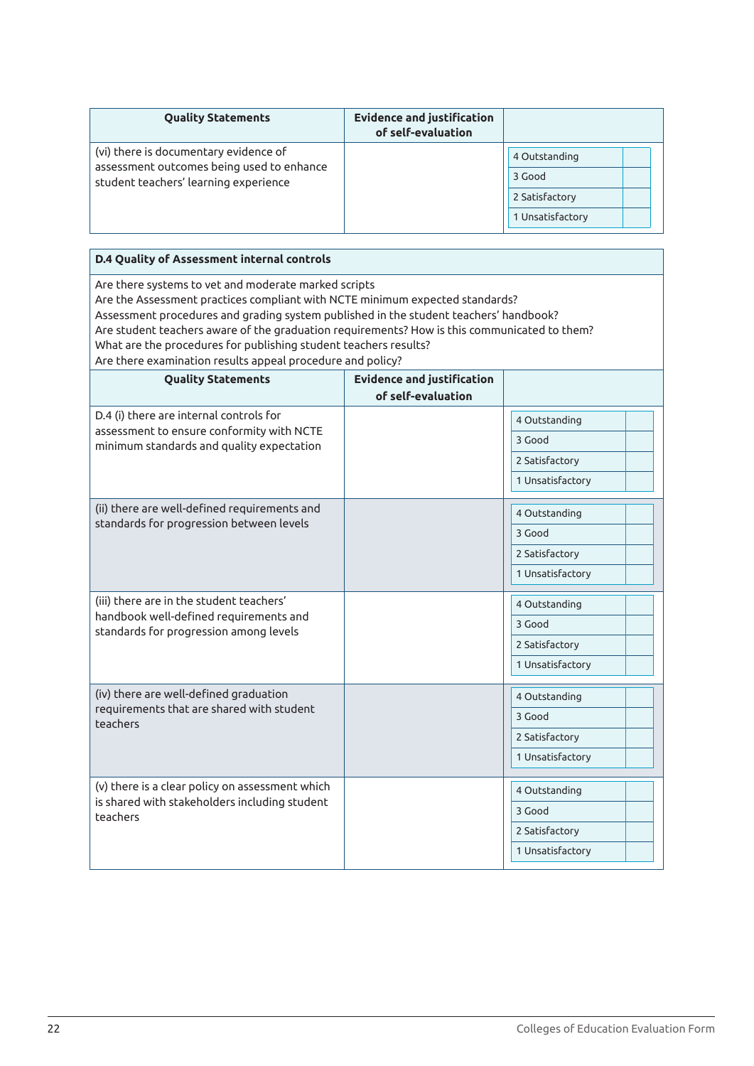| <b>Quality Statements</b>                                                                                                   | <b>Evidence and justification</b><br>of self-evaluation |                                                               |
|-----------------------------------------------------------------------------------------------------------------------------|---------------------------------------------------------|---------------------------------------------------------------|
| (vi) there is documentary evidence of<br>assessment outcomes being used to enhance<br>student teachers' learning experience |                                                         | 4 Outstanding<br>3 Good<br>2 Satisfactory<br>1 Unsatisfactory |

| <b>D.4 Quality of Assessment internal controls</b>                                                                                                                                                                                                                                                                                                                                                                                                              |                                   |                         |
|-----------------------------------------------------------------------------------------------------------------------------------------------------------------------------------------------------------------------------------------------------------------------------------------------------------------------------------------------------------------------------------------------------------------------------------------------------------------|-----------------------------------|-------------------------|
| Are there systems to vet and moderate marked scripts<br>Are the Assessment practices compliant with NCTE minimum expected standards?<br>Assessment procedures and grading system published in the student teachers' handbook?<br>Are student teachers aware of the graduation requirements? How is this communicated to them?<br>What are the procedures for publishing student teachers results?<br>Are there examination results appeal procedure and policy? |                                   |                         |
| <b>Quality Statements</b>                                                                                                                                                                                                                                                                                                                                                                                                                                       | <b>Evidence and justification</b> |                         |
|                                                                                                                                                                                                                                                                                                                                                                                                                                                                 | of self-evaluation                |                         |
| D.4 (i) there are internal controls for                                                                                                                                                                                                                                                                                                                                                                                                                         |                                   | 4 Outstanding           |
| assessment to ensure conformity with NCTE<br>minimum standards and quality expectation                                                                                                                                                                                                                                                                                                                                                                          |                                   | 3 Good                  |
|                                                                                                                                                                                                                                                                                                                                                                                                                                                                 |                                   | 2 Satisfactory          |
|                                                                                                                                                                                                                                                                                                                                                                                                                                                                 |                                   | 1 Unsatisfactory        |
| (ii) there are well-defined requirements and                                                                                                                                                                                                                                                                                                                                                                                                                    |                                   | 4 Outstanding           |
| standards for progression between levels                                                                                                                                                                                                                                                                                                                                                                                                                        |                                   | 3 Good                  |
|                                                                                                                                                                                                                                                                                                                                                                                                                                                                 |                                   | 2 Satisfactory          |
|                                                                                                                                                                                                                                                                                                                                                                                                                                                                 |                                   | 1 Unsatisfactory        |
| (iii) there are in the student teachers'                                                                                                                                                                                                                                                                                                                                                                                                                        |                                   | 4 Outstanding           |
| handbook well-defined requirements and<br>standards for progression among levels                                                                                                                                                                                                                                                                                                                                                                                |                                   | 3 Good                  |
|                                                                                                                                                                                                                                                                                                                                                                                                                                                                 |                                   | 2 Satisfactory          |
|                                                                                                                                                                                                                                                                                                                                                                                                                                                                 |                                   | 1 Unsatisfactory        |
| (iv) there are well-defined graduation                                                                                                                                                                                                                                                                                                                                                                                                                          |                                   |                         |
| requirements that are shared with student                                                                                                                                                                                                                                                                                                                                                                                                                       |                                   | 4 Outstanding<br>3 Good |
| teachers                                                                                                                                                                                                                                                                                                                                                                                                                                                        |                                   |                         |
|                                                                                                                                                                                                                                                                                                                                                                                                                                                                 |                                   | 2 Satisfactory          |
|                                                                                                                                                                                                                                                                                                                                                                                                                                                                 |                                   | 1 Unsatisfactory        |
| (v) there is a clear policy on assessment which                                                                                                                                                                                                                                                                                                                                                                                                                 |                                   | 4 Outstanding           |
| is shared with stakeholders including student<br>teachers                                                                                                                                                                                                                                                                                                                                                                                                       |                                   | 3 Good                  |
|                                                                                                                                                                                                                                                                                                                                                                                                                                                                 |                                   | 2 Satisfactory          |
|                                                                                                                                                                                                                                                                                                                                                                                                                                                                 |                                   | 1 Unsatisfactory        |
|                                                                                                                                                                                                                                                                                                                                                                                                                                                                 |                                   |                         |

-f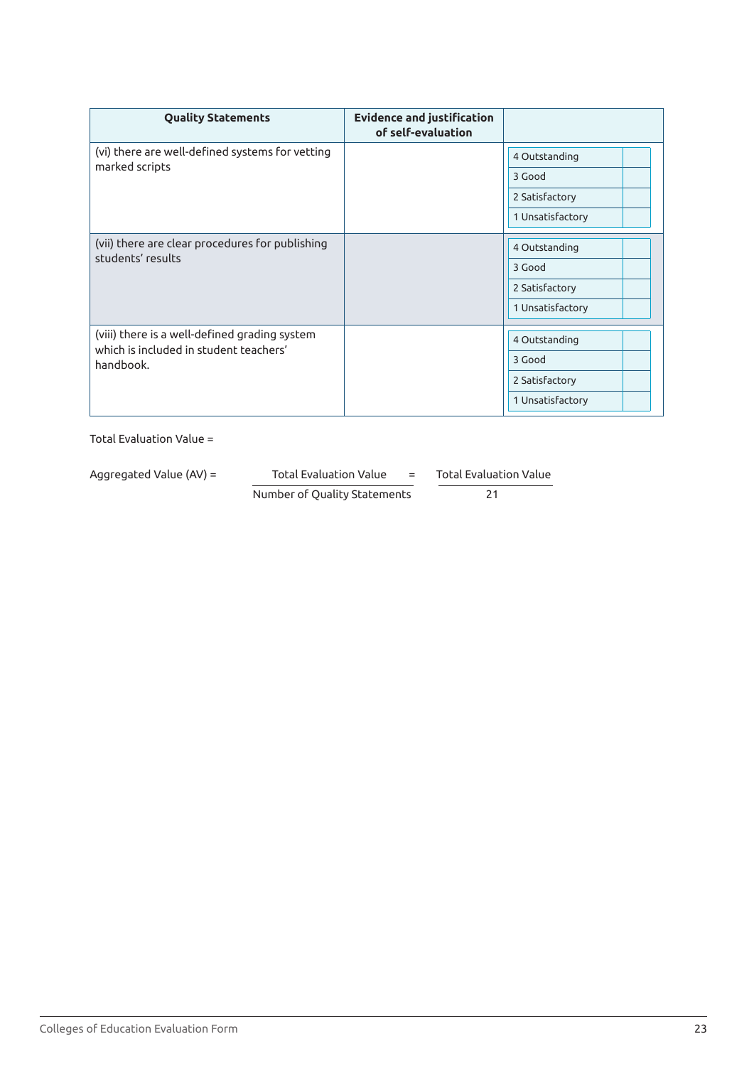| <b>Quality Statements</b>                                                                            | <b>Evidence and justification</b><br>of self-evaluation |                  |  |
|------------------------------------------------------------------------------------------------------|---------------------------------------------------------|------------------|--|
| (vi) there are well-defined systems for vetting                                                      |                                                         | 4 Outstanding    |  |
| marked scripts                                                                                       |                                                         | 3 Good           |  |
|                                                                                                      |                                                         | 2 Satisfactory   |  |
|                                                                                                      |                                                         | 1 Unsatisfactory |  |
|                                                                                                      |                                                         |                  |  |
| (vii) there are clear procedures for publishing<br>students' results                                 |                                                         | 4 Outstanding    |  |
|                                                                                                      |                                                         | 3 Good           |  |
|                                                                                                      |                                                         | 2 Satisfactory   |  |
|                                                                                                      |                                                         | 1 Unsatisfactory |  |
|                                                                                                      |                                                         |                  |  |
| (viii) there is a well-defined grading system<br>which is included in student teachers'<br>handbook. |                                                         | 4 Outstanding    |  |
|                                                                                                      |                                                         | 3 Good           |  |
|                                                                                                      |                                                         | 2 Satisfactory   |  |
|                                                                                                      |                                                         | 1 Unsatisfactory |  |
|                                                                                                      |                                                         |                  |  |

Aggregated Value (AV) = Total Evaluation Value = Total Evaluation Value

Number of Quality Statements 21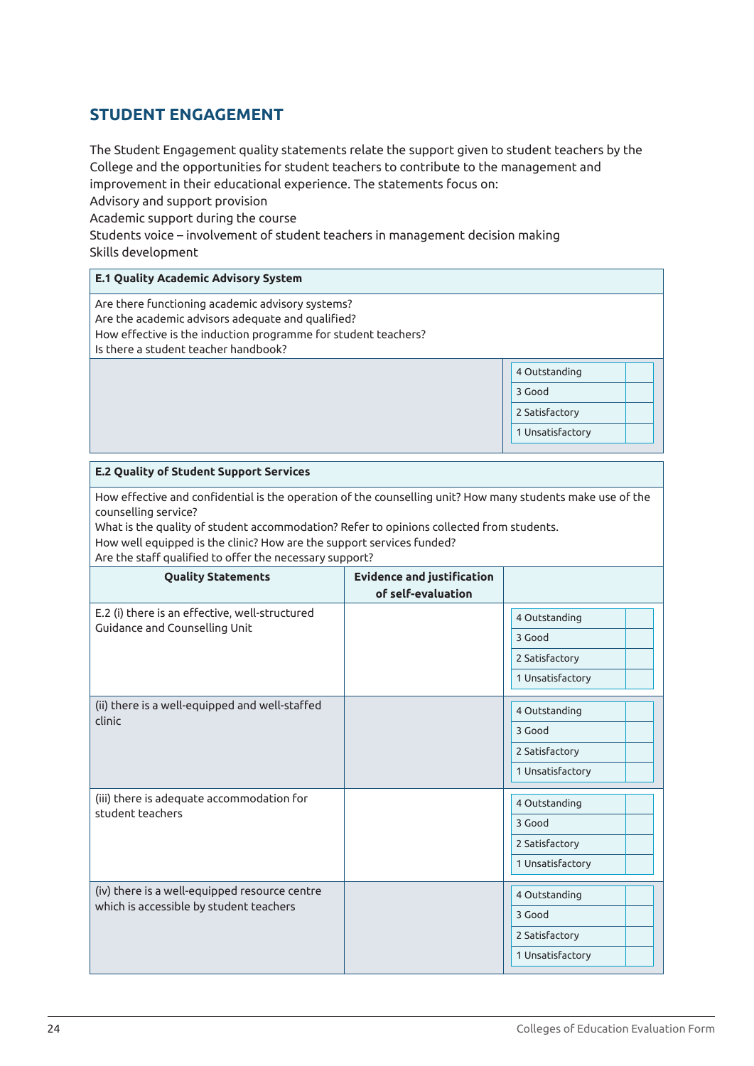# **STUDENT ENGAGEMENT**

The Student Engagement quality statements relate the support given to student teachers by the College and the opportunities for student teachers to contribute to the management and improvement in their educational experience. The statements focus on:

Advisory and support provision

Academic support during the course

Students voice – involvement of student teachers in management decision making Skills development

| <b>E.1 Quality Academic Advisory System</b>                                                                                                                                                                     |                                                               |
|-----------------------------------------------------------------------------------------------------------------------------------------------------------------------------------------------------------------|---------------------------------------------------------------|
| Are there functioning academic advisory systems?<br>Are the academic advisors adequate and qualified?<br>How effective is the induction programme for student teachers?<br>Is there a student teacher handbook? |                                                               |
|                                                                                                                                                                                                                 | 4 Outstanding<br>3 Good<br>2 Satisfactory<br>1 Unsatisfactory |

#### **E.2 Quality of Student Support Services**

How effective and confidential is the operation of the counselling unit? How many students make use of the counselling service?

What is the quality of student accommodation? Refer to opinions collected from students. How well equipped is the clinic? How are the support services funded?

Are the staff qualified to offer the necessary support?

| <b>Quality Statements</b>                                     | <b>Evidence and justification</b><br>of self-evaluation |                  |
|---------------------------------------------------------------|---------------------------------------------------------|------------------|
| E.2 (i) there is an effective, well-structured                |                                                         | 4 Outstanding    |
| Guidance and Counselling Unit                                 |                                                         | 3 Good           |
|                                                               |                                                         | 2 Satisfactory   |
|                                                               |                                                         | 1 Unsatisfactory |
| (ii) there is a well-equipped and well-staffed<br>clinic      |                                                         | 4 Outstanding    |
|                                                               |                                                         | 3 Good           |
|                                                               |                                                         | 2 Satisfactory   |
|                                                               |                                                         | 1 Unsatisfactory |
| (iii) there is adequate accommodation for<br>student teachers |                                                         | 4 Outstanding    |
|                                                               |                                                         | 3 Good           |
|                                                               |                                                         | 2 Satisfactory   |
|                                                               |                                                         | 1 Unsatisfactory |
| (iv) there is a well-equipped resource centre                 |                                                         | 4 Outstanding    |
| which is accessible by student teachers                       |                                                         | 3 Good           |
|                                                               |                                                         | 2 Satisfactory   |
|                                                               |                                                         | 1 Unsatisfactory |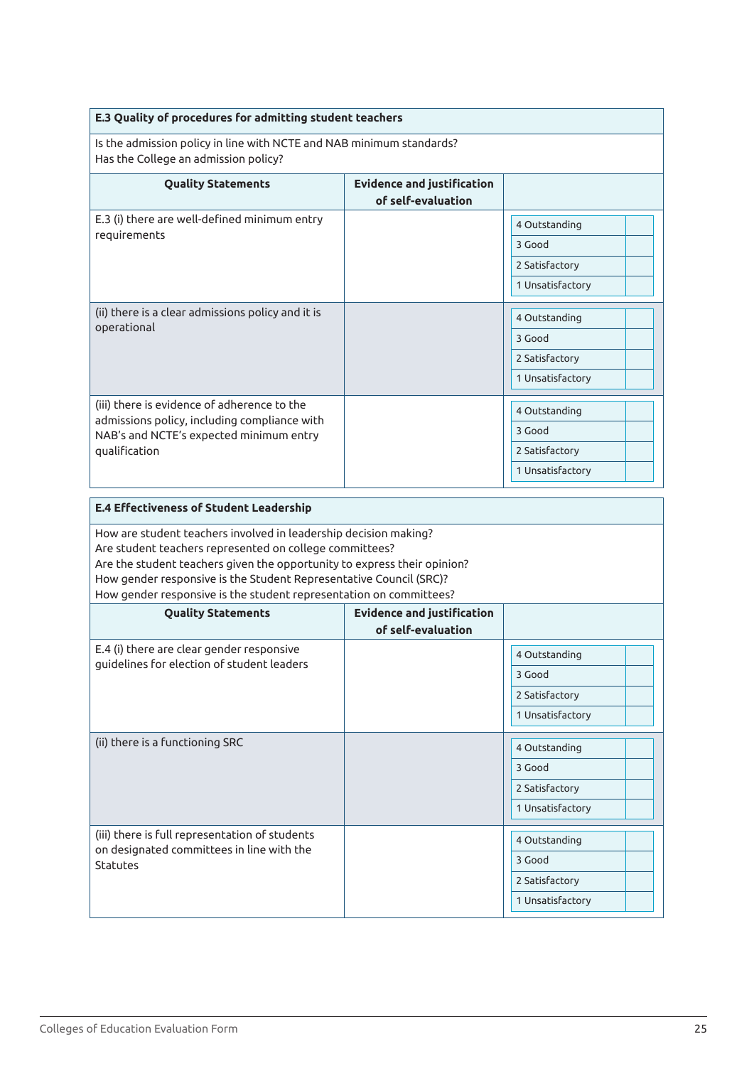| E.3 Quality of procedures for admitting student teachers                                                                                                                                                                                                                                                                                            |                                                         |                  |  |
|-----------------------------------------------------------------------------------------------------------------------------------------------------------------------------------------------------------------------------------------------------------------------------------------------------------------------------------------------------|---------------------------------------------------------|------------------|--|
| Is the admission policy in line with NCTE and NAB minimum standards?<br>Has the College an admission policy?                                                                                                                                                                                                                                        |                                                         |                  |  |
| <b>Quality Statements</b>                                                                                                                                                                                                                                                                                                                           | <b>Evidence and justification</b><br>of self-evaluation |                  |  |
| E.3 (i) there are well-defined minimum entry                                                                                                                                                                                                                                                                                                        |                                                         | 4 Outstanding    |  |
| requirements                                                                                                                                                                                                                                                                                                                                        |                                                         | 3 Good           |  |
|                                                                                                                                                                                                                                                                                                                                                     |                                                         | 2 Satisfactory   |  |
|                                                                                                                                                                                                                                                                                                                                                     |                                                         | 1 Unsatisfactory |  |
| (ii) there is a clear admissions policy and it is                                                                                                                                                                                                                                                                                                   |                                                         | 4 Outstanding    |  |
| operational                                                                                                                                                                                                                                                                                                                                         |                                                         | 3 Good           |  |
|                                                                                                                                                                                                                                                                                                                                                     |                                                         | 2 Satisfactory   |  |
|                                                                                                                                                                                                                                                                                                                                                     |                                                         | 1 Unsatisfactory |  |
| (iii) there is evidence of adherence to the                                                                                                                                                                                                                                                                                                         |                                                         | 4 Outstanding    |  |
| admissions policy, including compliance with<br>NAB's and NCTE's expected minimum entry                                                                                                                                                                                                                                                             |                                                         | 3 Good           |  |
| qualification                                                                                                                                                                                                                                                                                                                                       |                                                         | 2 Satisfactory   |  |
|                                                                                                                                                                                                                                                                                                                                                     |                                                         | 1 Unsatisfactory |  |
| <b>E.4 Effectiveness of Student Leadership</b>                                                                                                                                                                                                                                                                                                      |                                                         |                  |  |
| How are student teachers involved in leadership decision making?<br>Are student teachers represented on college committees?<br>Are the student teachers given the opportunity to express their opinion?<br>How gender responsive is the Student Representative Council (SRC)?<br>How gender responsive is the student representation on committees? |                                                         |                  |  |
| <b>Quality Statements</b>                                                                                                                                                                                                                                                                                                                           | <b>Evidence and justification</b><br>of self-evaluation |                  |  |
| E.4 (i) there are clear gender responsive                                                                                                                                                                                                                                                                                                           |                                                         | 4 Outstanding    |  |
| guidelines for election of student leaders                                                                                                                                                                                                                                                                                                          |                                                         | 3 Good           |  |
|                                                                                                                                                                                                                                                                                                                                                     |                                                         | 2 Satisfactory   |  |
|                                                                                                                                                                                                                                                                                                                                                     |                                                         | 1 Unsatisfactory |  |
| (ii) there is a functioning SRC                                                                                                                                                                                                                                                                                                                     |                                                         | 4 Outstanding    |  |
|                                                                                                                                                                                                                                                                                                                                                     |                                                         | 3 Good           |  |
|                                                                                                                                                                                                                                                                                                                                                     |                                                         | 2 Satisfactory   |  |
|                                                                                                                                                                                                                                                                                                                                                     |                                                         | 1 Unsatisfactory |  |
| (iii) there is full representation of students                                                                                                                                                                                                                                                                                                      |                                                         | 4 Outstanding    |  |
| on designated committees in line with the<br>Statutes                                                                                                                                                                                                                                                                                               |                                                         | 3 Good           |  |
|                                                                                                                                                                                                                                                                                                                                                     |                                                         | 2 Satisfactory   |  |
|                                                                                                                                                                                                                                                                                                                                                     |                                                         | 1 Unsatisfactory |  |
|                                                                                                                                                                                                                                                                                                                                                     |                                                         |                  |  |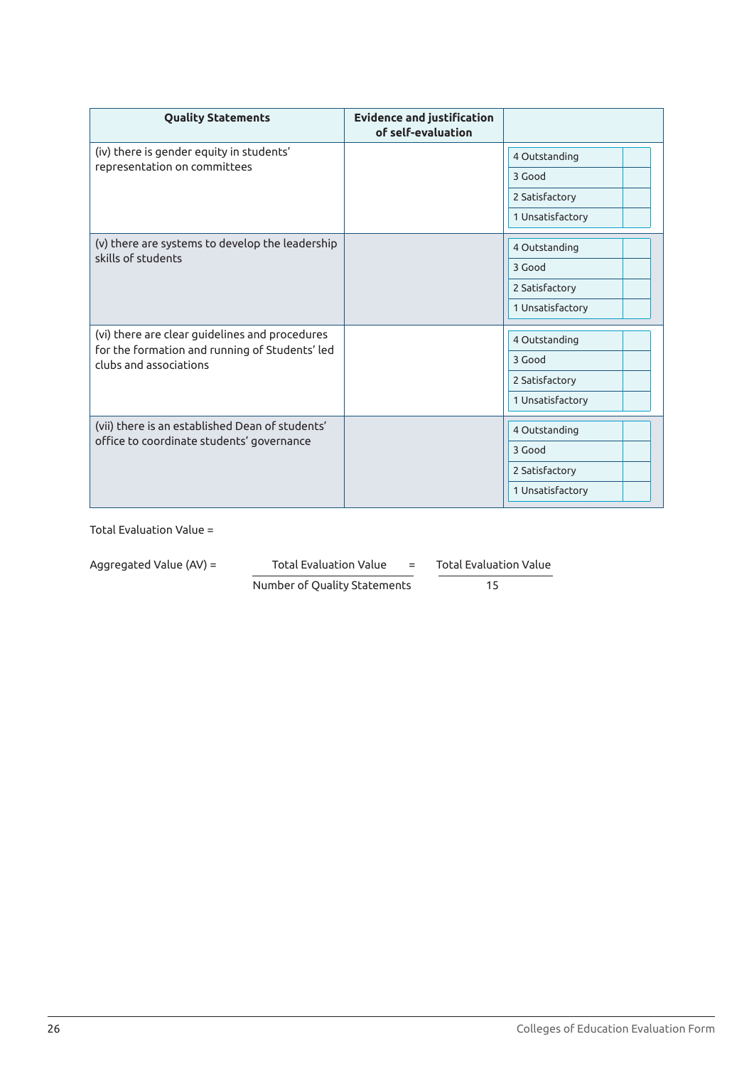| <b>Quality Statements</b>                                                                    | <b>Evidence and justification</b><br>of self-evaluation |                  |
|----------------------------------------------------------------------------------------------|---------------------------------------------------------|------------------|
| (iv) there is gender equity in students'                                                     |                                                         | 4 Outstanding    |
| representation on committees                                                                 |                                                         | 3 Good           |
|                                                                                              |                                                         | 2 Satisfactory   |
|                                                                                              |                                                         | 1 Unsatisfactory |
| (v) there are systems to develop the leadership<br>skills of students                        |                                                         | 4 Outstanding    |
|                                                                                              |                                                         | 3 Good           |
|                                                                                              |                                                         | 2 Satisfactory   |
|                                                                                              |                                                         | 1 Unsatisfactory |
| (vi) there are clear guidelines and procedures                                               |                                                         | 4 Outstanding    |
| for the formation and running of Students' led<br>clubs and associations                     |                                                         | 3 Good           |
|                                                                                              |                                                         | 2 Satisfactory   |
|                                                                                              |                                                         | 1 Unsatisfactory |
| (vii) there is an established Dean of students'<br>office to coordinate students' governance |                                                         | 4 Outstanding    |
|                                                                                              |                                                         | 3 Good           |
|                                                                                              |                                                         | 2 Satisfactory   |
|                                                                                              |                                                         | 1 Unsatisfactory |

| Aggregated Value (AV) = | <b>Total Evaluation Value</b><br>$=$ |  | Total Evaluation Value |
|-------------------------|--------------------------------------|--|------------------------|
|                         | Number of Quality Statements         |  | 15                     |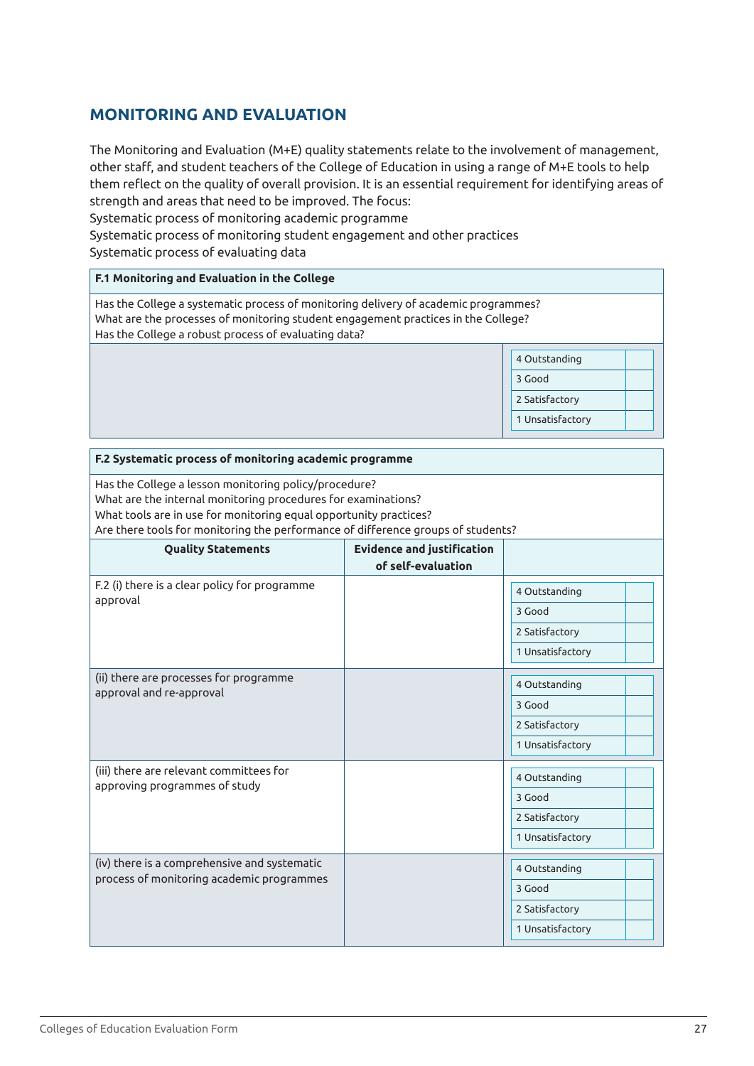# **MONITORING AND EVALUATION**

The Monitoring and Evaluation (M+E) quality statements relate to the involvement of management, other staff, and student teachers of the College of Education in using a range of M+E tools to help them reflect on the quality of overall provision. It is an essential requirement for identifying areas of strength and areas that need to be improved. The focus:

Systematic process of monitoring academic programme

Systematic process of monitoring student engagement and other practices Systematic process of evaluating data

#### **F.1 Monitoring and Evaluation in the College**

Has the College a systematic process of monitoring delivery of academic programmes? What are the processes of monitoring student engagement practices in the College? Has the College a robust process of evaluating data?

| 4 Outstanding    |  |
|------------------|--|
| 3 Good           |  |
| 2 Satisfactory   |  |
| 1 Unsatisfactory |  |
|                  |  |

| F.2 Systematic process of monitoring academic programme                                                                                                                                                                                                                         |                                   |                  |  |
|---------------------------------------------------------------------------------------------------------------------------------------------------------------------------------------------------------------------------------------------------------------------------------|-----------------------------------|------------------|--|
| Has the College a lesson monitoring policy/procedure?<br>What are the internal monitoring procedures for examinations?<br>What tools are in use for monitoring equal opportunity practices?<br>Are there tools for monitoring the performance of difference groups of students? |                                   |                  |  |
| <b>Quality Statements</b>                                                                                                                                                                                                                                                       | <b>Evidence and justification</b> |                  |  |
|                                                                                                                                                                                                                                                                                 | of self-evaluation                |                  |  |
| F.2 (i) there is a clear policy for programme<br>approval                                                                                                                                                                                                                       |                                   | 4 Outstanding    |  |
|                                                                                                                                                                                                                                                                                 |                                   | 3 Good           |  |
|                                                                                                                                                                                                                                                                                 |                                   | 2 Satisfactory   |  |
|                                                                                                                                                                                                                                                                                 |                                   | 1 Unsatisfactory |  |
| (ii) there are processes for programme<br>approval and re-approval                                                                                                                                                                                                              |                                   | 4 Outstanding    |  |
|                                                                                                                                                                                                                                                                                 |                                   | 3 Good           |  |
|                                                                                                                                                                                                                                                                                 |                                   | 2 Satisfactory   |  |
|                                                                                                                                                                                                                                                                                 |                                   | 1 Unsatisfactory |  |
| (iii) there are relevant committees for                                                                                                                                                                                                                                         |                                   | 4 Outstanding    |  |
| approving programmes of study                                                                                                                                                                                                                                                   |                                   | 3 Good           |  |
|                                                                                                                                                                                                                                                                                 |                                   | 2 Satisfactory   |  |
|                                                                                                                                                                                                                                                                                 |                                   | 1 Unsatisfactory |  |
| (iv) there is a comprehensive and systematic                                                                                                                                                                                                                                    |                                   | 4 Outstanding    |  |
| process of monitoring academic programmes                                                                                                                                                                                                                                       |                                   | 3 Good           |  |
|                                                                                                                                                                                                                                                                                 |                                   | 2 Satisfactory   |  |
|                                                                                                                                                                                                                                                                                 |                                   | 1 Unsatisfactory |  |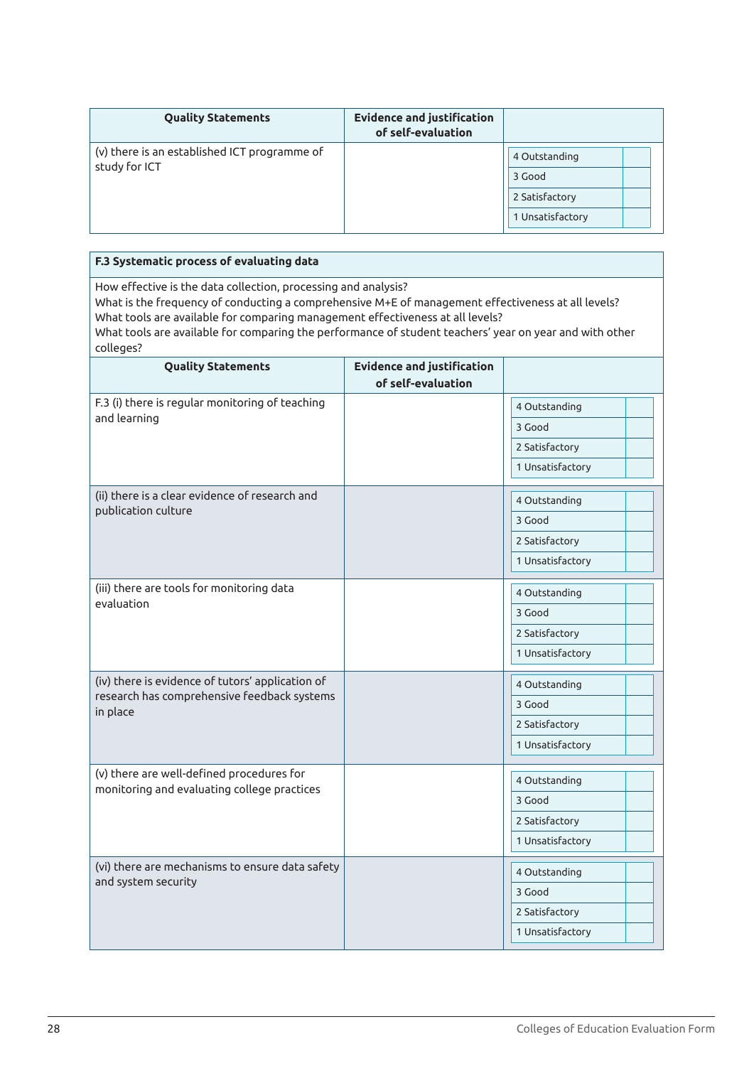| <b>Quality Statements</b>                                     | <b>Evidence and justification</b><br>of self-evaluation |                  |
|---------------------------------------------------------------|---------------------------------------------------------|------------------|
| (v) there is an established ICT programme of<br>study for ICT |                                                         | 4 Outstanding    |
|                                                               |                                                         | 3 Good           |
|                                                               |                                                         | 2 Satisfactory   |
|                                                               |                                                         | 1 Unsatisfactory |

| F.3 Systematic process of evaluating data                                                                                                                                                                                                                                                                                                                                      |                                                         |                                                                                   |  |
|--------------------------------------------------------------------------------------------------------------------------------------------------------------------------------------------------------------------------------------------------------------------------------------------------------------------------------------------------------------------------------|---------------------------------------------------------|-----------------------------------------------------------------------------------|--|
| How effective is the data collection, processing and analysis?<br>What is the frequency of conducting a comprehensive M+E of management effectiveness at all levels?<br>What tools are available for comparing management effectiveness at all levels?<br>What tools are available for comparing the performance of student teachers' year on year and with other<br>colleges? |                                                         |                                                                                   |  |
| <b>Quality Statements</b>                                                                                                                                                                                                                                                                                                                                                      | <b>Evidence and justification</b><br>of self-evaluation |                                                                                   |  |
| F.3 (i) there is regular monitoring of teaching<br>and learning                                                                                                                                                                                                                                                                                                                |                                                         | 4 Outstanding<br>3 Good<br>2 Satisfactory                                         |  |
| (ii) there is a clear evidence of research and<br>publication culture                                                                                                                                                                                                                                                                                                          |                                                         | 1 Unsatisfactory<br>4 Outstanding<br>3 Good<br>2 Satisfactory<br>1 Unsatisfactory |  |
| (iii) there are tools for monitoring data<br>evaluation                                                                                                                                                                                                                                                                                                                        |                                                         | 4 Outstanding<br>3 Good<br>2 Satisfactory<br>1 Unsatisfactory                     |  |
| (iv) there is evidence of tutors' application of<br>research has comprehensive feedback systems<br>in place                                                                                                                                                                                                                                                                    |                                                         | 4 Outstanding<br>3 Good<br>2 Satisfactory<br>1 Unsatisfactory                     |  |
| (v) there are well-defined procedures for<br>monitoring and evaluating college practices                                                                                                                                                                                                                                                                                       |                                                         | 4 Outstanding<br>3 Good<br>2 Satisfactory<br>1 Unsatisfactory                     |  |
| (vi) there are mechanisms to ensure data safety<br>and system security                                                                                                                                                                                                                                                                                                         |                                                         | 4 Outstanding<br>3 Good<br>2 Satisfactory<br>1 Unsatisfactory                     |  |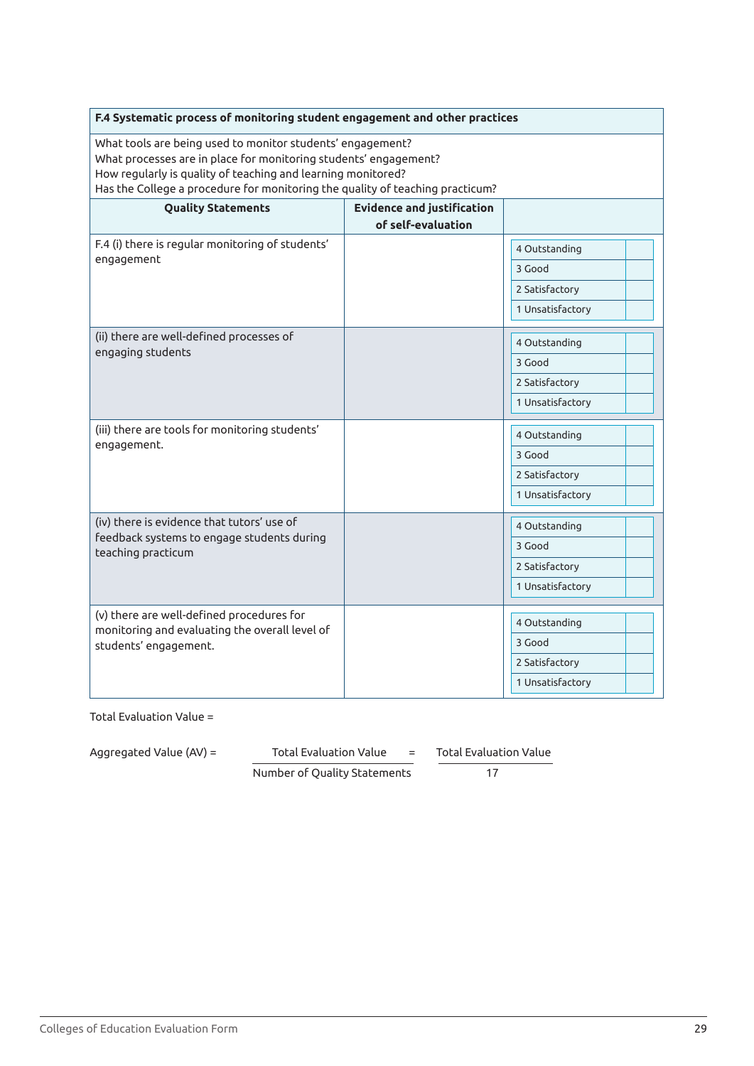| F.4 Systematic process of monitoring student engagement and other practices                                                                                                                                                                                                     |                                                         |                                                               |
|---------------------------------------------------------------------------------------------------------------------------------------------------------------------------------------------------------------------------------------------------------------------------------|---------------------------------------------------------|---------------------------------------------------------------|
| What tools are being used to monitor students' engagement?<br>What processes are in place for monitoring students' engagement?<br>How regularly is quality of teaching and learning monitored?<br>Has the College a procedure for monitoring the quality of teaching practicum? |                                                         |                                                               |
| <b>Quality Statements</b>                                                                                                                                                                                                                                                       | <b>Evidence and justification</b><br>of self-evaluation |                                                               |
| F.4 (i) there is regular monitoring of students'<br>engagement                                                                                                                                                                                                                  |                                                         | 4 Outstanding<br>3 Good<br>2 Satisfactory                     |
|                                                                                                                                                                                                                                                                                 |                                                         | 1 Unsatisfactory                                              |
| (ii) there are well-defined processes of<br>engaging students                                                                                                                                                                                                                   |                                                         | 4 Outstanding<br>3 Good<br>2 Satisfactory<br>1 Unsatisfactory |
| (iii) there are tools for monitoring students'<br>engagement.                                                                                                                                                                                                                   |                                                         | 4 Outstanding<br>3 Good<br>2 Satisfactory<br>1 Unsatisfactory |
| (iv) there is evidence that tutors' use of<br>feedback systems to engage students during<br>teaching practicum                                                                                                                                                                  |                                                         | 4 Outstanding<br>3 Good<br>2 Satisfactory<br>1 Unsatisfactory |
| (v) there are well-defined procedures for<br>monitoring and evaluating the overall level of<br>students' engagement.                                                                                                                                                            |                                                         | 4 Outstanding<br>3 Good<br>2 Satisfactory<br>1 Unsatisfactory |

Aggregated Value (AV) = Total Evaluation Value = Total Evaluation Value

Number of Quality Statements 17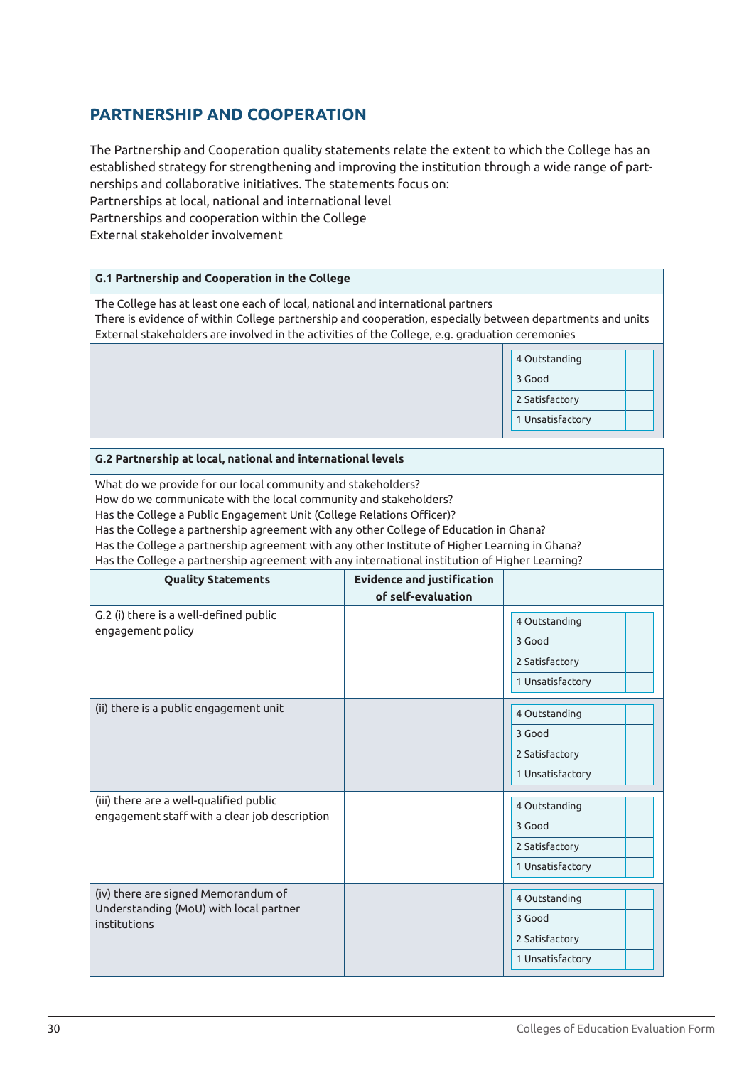# **PARTNERSHIP AND COOPERATION**

The Partnership and Cooperation quality statements relate the extent to which the College has an established strategy for strengthening and improving the institution through a wide range of partnerships and collaborative initiatives. The statements focus on: Partnerships at local, national and international level Partnerships and cooperation within the College External stakeholder involvement

# **G.1 Partnership and Cooperation in the College** The College has at least one each of local, national and international partners There is evidence of within College partnership and cooperation, especially between departments and units External stakeholders are involved in the activities of the College, e.g. graduation ceremonies 4 Outstanding 3 Good 2 Satisfactory 1 Unsatisfactory

| G.2 Partnership at local, national and international levels                                                                                                                                                                                                                                                                                                                                                                                                                                           |                                                         |                                                               |  |
|-------------------------------------------------------------------------------------------------------------------------------------------------------------------------------------------------------------------------------------------------------------------------------------------------------------------------------------------------------------------------------------------------------------------------------------------------------------------------------------------------------|---------------------------------------------------------|---------------------------------------------------------------|--|
| What do we provide for our local community and stakeholders?<br>How do we communicate with the local community and stakeholders?<br>Has the College a Public Engagement Unit (College Relations Officer)?<br>Has the College a partnership agreement with any other College of Education in Ghana?<br>Has the College a partnership agreement with any other Institute of Higher Learning in Ghana?<br>Has the College a partnership agreement with any international institution of Higher Learning? |                                                         |                                                               |  |
| <b>Quality Statements</b>                                                                                                                                                                                                                                                                                                                                                                                                                                                                             | <b>Evidence and justification</b><br>of self-evaluation |                                                               |  |
| G.2 (i) there is a well-defined public<br>engagement policy                                                                                                                                                                                                                                                                                                                                                                                                                                           |                                                         | 4 Outstanding<br>3 Good<br>2 Satisfactory<br>1 Unsatisfactory |  |
| (ii) there is a public engagement unit                                                                                                                                                                                                                                                                                                                                                                                                                                                                |                                                         | 4 Outstanding<br>3 Good<br>2 Satisfactory<br>1 Unsatisfactory |  |
| (iii) there are a well-qualified public<br>engagement staff with a clear job description                                                                                                                                                                                                                                                                                                                                                                                                              |                                                         | 4 Outstanding<br>3 Good<br>2 Satisfactory<br>1 Unsatisfactory |  |
| (iv) there are signed Memorandum of<br>Understanding (MoU) with local partner<br>institutions                                                                                                                                                                                                                                                                                                                                                                                                         |                                                         | 4 Outstanding<br>3 Good<br>2 Satisfactory<br>1 Unsatisfactory |  |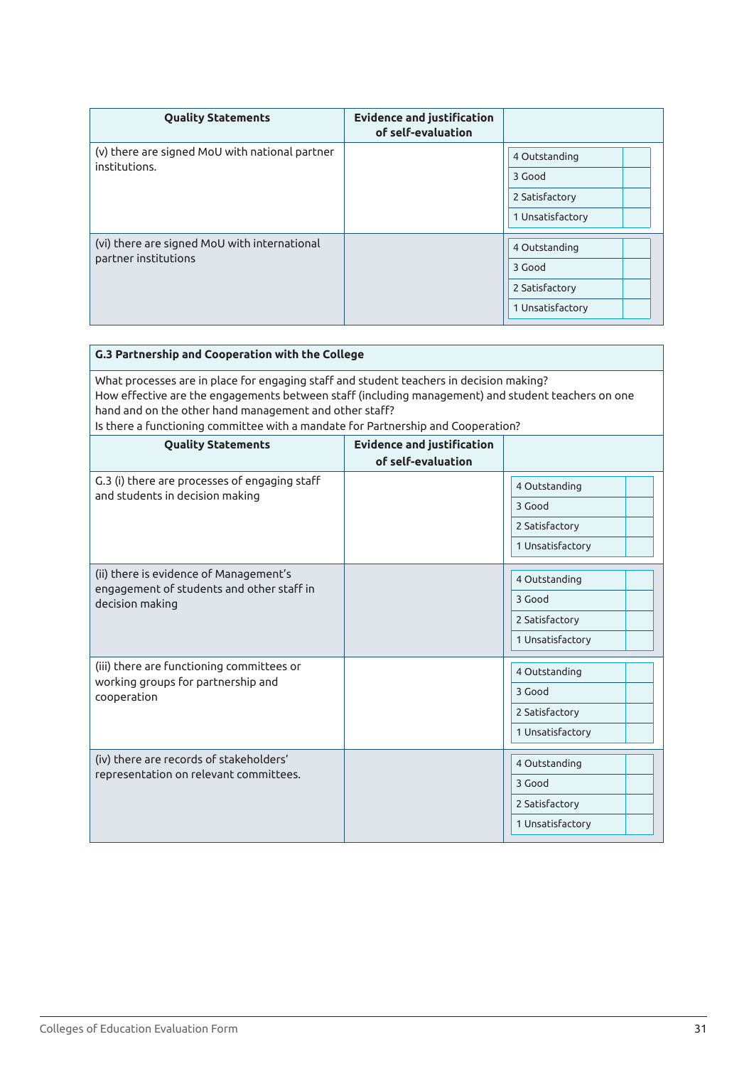| <b>Quality Statements</b>                                            | <b>Evidence and justification</b><br>of self-evaluation |                  |
|----------------------------------------------------------------------|---------------------------------------------------------|------------------|
| (v) there are signed MoU with national partner<br>institutions.      |                                                         | 4 Outstanding    |
|                                                                      |                                                         | 3 Good           |
|                                                                      |                                                         | 2 Satisfactory   |
|                                                                      |                                                         | 1 Unsatisfactory |
| (vi) there are signed MoU with international<br>partner institutions |                                                         |                  |
|                                                                      |                                                         | 4 Outstanding    |
|                                                                      |                                                         | 3 Good           |
|                                                                      |                                                         | 2 Satisfactory   |
|                                                                      |                                                         | 1 Unsatisfactory |

| G.3 Partnership and Cooperation with the College                                                                                                                                                                                                                                                                                            |                                   |                  |
|---------------------------------------------------------------------------------------------------------------------------------------------------------------------------------------------------------------------------------------------------------------------------------------------------------------------------------------------|-----------------------------------|------------------|
| What processes are in place for engaging staff and student teachers in decision making?<br>How effective are the engagements between staff (including management) and student teachers on one<br>hand and on the other hand management and other staff?<br>Is there a functioning committee with a mandate for Partnership and Cooperation? |                                   |                  |
| <b>Quality Statements</b>                                                                                                                                                                                                                                                                                                                   | <b>Evidence and justification</b> |                  |
|                                                                                                                                                                                                                                                                                                                                             | of self-evaluation                |                  |
| G.3 (i) there are processes of engaging staff<br>and students in decision making                                                                                                                                                                                                                                                            |                                   | 4 Outstanding    |
|                                                                                                                                                                                                                                                                                                                                             |                                   | 3 Good           |
|                                                                                                                                                                                                                                                                                                                                             |                                   | 2 Satisfactory   |
|                                                                                                                                                                                                                                                                                                                                             |                                   | 1 Unsatisfactory |
| (ii) there is evidence of Management's<br>engagement of students and other staff in<br>decision making                                                                                                                                                                                                                                      |                                   | 4 Outstanding    |
|                                                                                                                                                                                                                                                                                                                                             |                                   | 3 Good           |
|                                                                                                                                                                                                                                                                                                                                             |                                   | 2 Satisfactory   |
|                                                                                                                                                                                                                                                                                                                                             |                                   | 1 Unsatisfactory |
| (iii) there are functioning committees or<br>working groups for partnership and<br>cooperation                                                                                                                                                                                                                                              |                                   | 4 Outstanding    |
|                                                                                                                                                                                                                                                                                                                                             |                                   | 3 Good           |
|                                                                                                                                                                                                                                                                                                                                             |                                   | 2 Satisfactory   |
|                                                                                                                                                                                                                                                                                                                                             |                                   | 1 Unsatisfactory |
| (iv) there are records of stakeholders'<br>representation on relevant committees.                                                                                                                                                                                                                                                           |                                   | 4 Outstanding    |
|                                                                                                                                                                                                                                                                                                                                             |                                   | 3 Good           |
|                                                                                                                                                                                                                                                                                                                                             |                                   | 2 Satisfactory   |
|                                                                                                                                                                                                                                                                                                                                             |                                   | 1 Unsatisfactory |
|                                                                                                                                                                                                                                                                                                                                             |                                   |                  |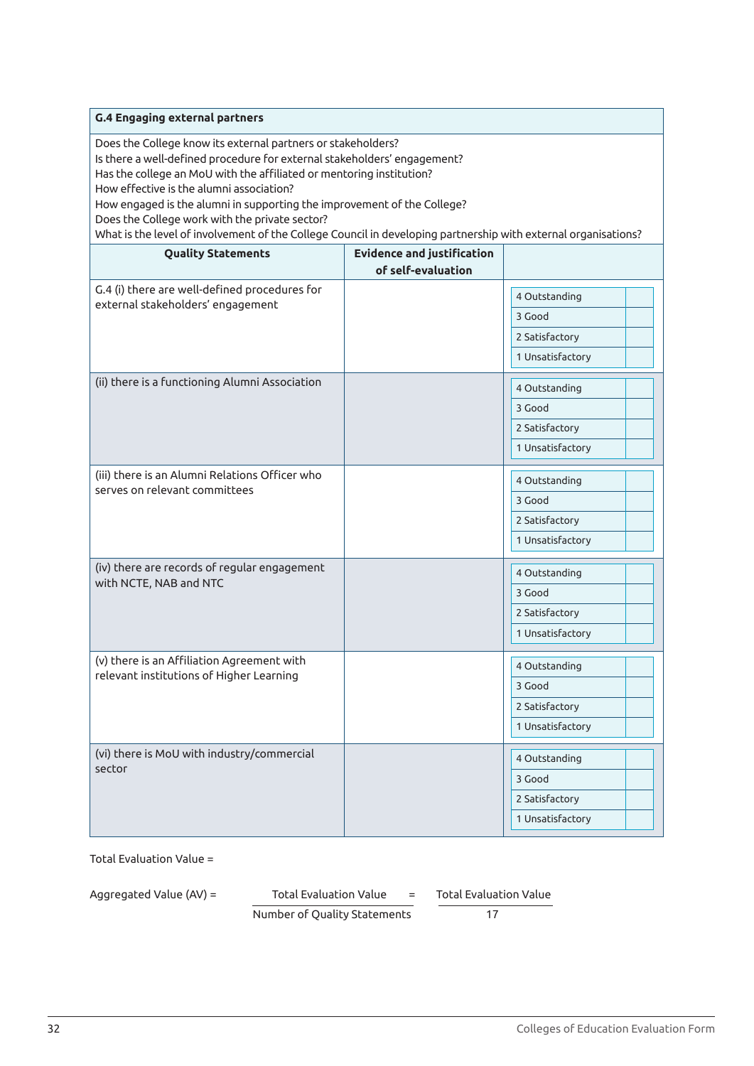| <b>G.4 Engaging external partners</b>                                                                                                                                                                                                                                                                                                                                                                                                                                                                       |                                   |                  |  |
|-------------------------------------------------------------------------------------------------------------------------------------------------------------------------------------------------------------------------------------------------------------------------------------------------------------------------------------------------------------------------------------------------------------------------------------------------------------------------------------------------------------|-----------------------------------|------------------|--|
| Does the College know its external partners or stakeholders?<br>Is there a well-defined procedure for external stakeholders' engagement?<br>Has the college an MoU with the affiliated or mentoring institution?<br>How effective is the alumni association?<br>How engaged is the alumni in supporting the improvement of the College?<br>Does the College work with the private sector?<br>What is the level of involvement of the College Council in developing partnership with external organisations? |                                   |                  |  |
| <b>Quality Statements</b>                                                                                                                                                                                                                                                                                                                                                                                                                                                                                   | <b>Evidence and justification</b> |                  |  |
|                                                                                                                                                                                                                                                                                                                                                                                                                                                                                                             | of self-evaluation                |                  |  |
| G.4 (i) there are well-defined procedures for                                                                                                                                                                                                                                                                                                                                                                                                                                                               |                                   | 4 Outstanding    |  |
| external stakeholders' engagement                                                                                                                                                                                                                                                                                                                                                                                                                                                                           |                                   | 3 Good           |  |
|                                                                                                                                                                                                                                                                                                                                                                                                                                                                                                             |                                   | 2 Satisfactory   |  |
|                                                                                                                                                                                                                                                                                                                                                                                                                                                                                                             |                                   | 1 Unsatisfactory |  |
| (ii) there is a functioning Alumni Association                                                                                                                                                                                                                                                                                                                                                                                                                                                              |                                   | 4 Outstanding    |  |
|                                                                                                                                                                                                                                                                                                                                                                                                                                                                                                             |                                   | 3 Good           |  |
|                                                                                                                                                                                                                                                                                                                                                                                                                                                                                                             |                                   | 2 Satisfactory   |  |
|                                                                                                                                                                                                                                                                                                                                                                                                                                                                                                             |                                   | 1 Unsatisfactory |  |
| (iii) there is an Alumni Relations Officer who                                                                                                                                                                                                                                                                                                                                                                                                                                                              |                                   | 4 Outstanding    |  |
| serves on relevant committees                                                                                                                                                                                                                                                                                                                                                                                                                                                                               |                                   | 3 Good           |  |
|                                                                                                                                                                                                                                                                                                                                                                                                                                                                                                             |                                   | 2 Satisfactory   |  |
|                                                                                                                                                                                                                                                                                                                                                                                                                                                                                                             |                                   | 1 Unsatisfactory |  |
|                                                                                                                                                                                                                                                                                                                                                                                                                                                                                                             |                                   |                  |  |
| (iv) there are records of regular engagement<br>with NCTE, NAB and NTC                                                                                                                                                                                                                                                                                                                                                                                                                                      |                                   | 4 Outstanding    |  |
|                                                                                                                                                                                                                                                                                                                                                                                                                                                                                                             |                                   | 3 Good           |  |
|                                                                                                                                                                                                                                                                                                                                                                                                                                                                                                             |                                   | 2 Satisfactory   |  |
|                                                                                                                                                                                                                                                                                                                                                                                                                                                                                                             |                                   | 1 Unsatisfactory |  |
| (v) there is an Affiliation Agreement with                                                                                                                                                                                                                                                                                                                                                                                                                                                                  |                                   | 4 Outstanding    |  |
| relevant institutions of Higher Learning                                                                                                                                                                                                                                                                                                                                                                                                                                                                    |                                   | 3 Good           |  |
|                                                                                                                                                                                                                                                                                                                                                                                                                                                                                                             |                                   | 2 Satisfactory   |  |
|                                                                                                                                                                                                                                                                                                                                                                                                                                                                                                             |                                   | 1 Unsatisfactory |  |
| (vi) there is MoU with industry/commercial                                                                                                                                                                                                                                                                                                                                                                                                                                                                  |                                   | 4 Outstanding    |  |
| sector                                                                                                                                                                                                                                                                                                                                                                                                                                                                                                      |                                   | 3 Good           |  |
|                                                                                                                                                                                                                                                                                                                                                                                                                                                                                                             |                                   | 2 Satisfactory   |  |
|                                                                                                                                                                                                                                                                                                                                                                                                                                                                                                             |                                   | 1 Unsatisfactory |  |
|                                                                                                                                                                                                                                                                                                                                                                                                                                                                                                             |                                   |                  |  |

Aggregated Value (AV) = Total Evaluation Value = Total Evaluation Value

Number of Quality Statements 17